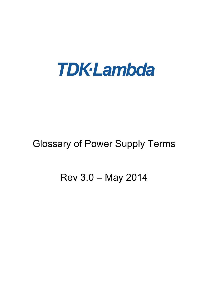

# Glossary of Power Supply Terms

## Rev 3.0 – May 2014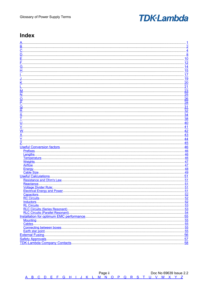#### <span id="page-1-0"></span>**Index**

|                                  | 4          |
|----------------------------------|------------|
|                                  | 8          |
|                                  | 10         |
|                                  | 12         |
|                                  |            |
|                                  | 14         |
|                                  | 15         |
|                                  | 17         |
|                                  | <u> 19</u> |
|                                  | 20         |
|                                  | 21         |
|                                  |            |
|                                  | 23         |
| N                                | 25         |
| O                                | 26         |
|                                  | 28         |
|                                  | 31         |
|                                  |            |
| R                                | 32         |
|                                  | 34         |
|                                  | 38         |
|                                  | 40         |
|                                  | 41         |
|                                  |            |
| W                                | 42         |
|                                  | 43         |
|                                  | 44         |
|                                  |            |
|                                  |            |
|                                  | 45         |
| <b>Useful Conversion factors</b> | 46         |
| Prefixes.                        | .46        |
| Lenaths                          | 46         |
| Temperature                      | 46         |
| Weights                          | 47         |
| Airflow                          | .47        |
| Energy                           | 48         |
|                                  |            |
| Cable Size                       | 49         |
| <b>Useful Calculations.</b>      | 51         |
| <b>Resistance and Ohm's Law.</b> | 51         |
| Reactance                        | 51         |
| <b>Voltage Divider Rule:</b>     | 51         |
| Electrical Energy and Power      | .51        |
|                                  | . 52       |
|                                  |            |
|                                  |            |
|                                  |            |
|                                  |            |
|                                  |            |
|                                  |            |
|                                  | 55         |
|                                  |            |
|                                  |            |
|                                  |            |
|                                  |            |
|                                  |            |
|                                  |            |
|                                  |            |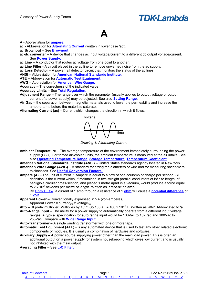### <span id="page-2-0"></span>**A**

#### **A** - Abbreviation for **[ampere](#page-2-5)**.

**ac** - Abbreviation for **[Alternating Current](#page-2-4)** (written in lower case 'ac').

**ac Brownout** – See **[Brownout](#page-4-0)**.

**ac-dc converter** – A device that changes ac input voltage/current to a different dc output voltage/current. See **[Power Supply.](#page-30-1)**

**ac Line** – A conductor that routes ac voltage from one point to another.

**ac Line Filter** - A circuit placed in the ac line to remove unwanted noise from the ac supply.

**ac Loss Detector** – A power fail detector circuit that monitors the status of the ac lines.

**ANSI** – Abbreviation for **[American National Standards Institute.](#page-2-3)**

**ATE –** Abbreviation for **[Automatic Test Equipment.](#page-2-2)**

**AWG** – Abbreviation for **[American Wire Gauge.](#page-2-1)**

**Accuracy** – The correctness of the indicated value.

#### **Accuracy Limits** – See **[Total Regulation.](#page-39-2)**

<span id="page-2-9"></span>**Adjustment Range** – The range over which the parameter (usually applies to output voltage or output current of a power supply) may be adjusted. See also **[Setting Range](#page-36-0)**.

<span id="page-2-6"></span>**Air Gap** – the separation between magnetic materials used to lower the permeability and increase the ampere turns before the materials saturate.

<span id="page-2-4"></span>**Alternating Current (ac)** – Current which changes the direction in which it flows.



*Drawing 1: Alternating Current*

- <span id="page-2-7"></span>**Ambient Temperature** – The average temperature of the environment immediately surrounding the power supply (PSU). For forced air-cooled units, the ambient temperature is measured at the air intake. See also **[Operating Temperature Range](#page-27-2)**, **[Storage Temperature](#page-37-0)**, **[Temperature Coefficient](#page-39-1)**.
- <span id="page-2-3"></span><span id="page-2-1"></span>**American National Standards Institute (ANSI)** – United States standards agency located in New York. **American Wire Gauge (AWG)** – A standard for sizing the diameters of wire and for measuring sheet-metal thicknesses. See **[Useful Conversion Factors.](#page-50-0)**
- <span id="page-2-5"></span>**Ampere (A)** – The unit of current. 1 Ampere is equal to a flow of one coulomb of charge per second. SI definition is the current which, if maintained in two straight parallel conductors of infinite length, of negligible circular cross-section, and placed 1 metre apart in a vacuum, would produce a force equal to 2 x 10-7 newtons per metre of length. Written as '**ampere**' or '**amp**'.

By **[Ohm's Law](#page-52-3)**, a current of 1 amp through a resistance of 1 **[ohm](#page-27-1)** will cause a **[potential difference](#page-30-0)** of 1 **[volt](#page-42-1)**.

<span id="page-2-8"></span>**Apparent Power** – Conventionally expressed in VA (volt-amperes).

Apparent Power = current<sub>rms</sub> x voltage<sub>rms</sub>.

Atto – SI prefix multiplier. Multiplies by 10<sup>-18</sup>. So 100 aF = 100 x 10<sup>-18</sup> F. Written as 'atto'. Abbreviated to 'a'.

<span id="page-2-10"></span>**Auto-Range Input** – The ability for a power supply to automatically operate from a different input voltage ranges. A typical specification for auto range input would be 100Vac to 132Vac and 180Vac to 253Vac. Compare with **[Wide Range Input.](#page-43-1)**

**Auto-Transformer** – A single winding transformer with one or more taps.

- <span id="page-2-2"></span>**Automatic Test Equipment (ATE)** - is any automated device that is used to test any other related electronic components or modules. It is usually a combination of hardware and software.
- **Auxiliary Supply** A power source supplying power other than the main load power. This is often an additional output on a power supply for system housekeeping which gives low current and is usually not inhibited with the main output.

**Averaging Filter** – See **[L-C Filter.](#page-22-1)**

| <b>Table of Contents</b> |  |  |  |  |  |  |  |  |  |  |                                                     |  | Doc No 69639 Issue 2.2 |
|--------------------------|--|--|--|--|--|--|--|--|--|--|-----------------------------------------------------|--|------------------------|
|                          |  |  |  |  |  |  |  |  |  |  | A B C D E F G H I J K L M N O P Q R S T U V W X Y Z |  |                        |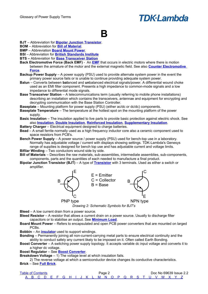#### <span id="page-3-0"></span>**B**

**BJT** – Abbreviation for **[Bipolar Junction Transistor](#page-3-5)**.

**BOM** – Abbreviation for **[Bill of Material](#page-3-4)**.

**BMP** – Abbreviation **[Board Mount Power](#page-3-3)**.

**BSI** – Abbreviation for **[British Standards Institute](#page-4-1)**

- **BTS –** Abbreviation for **[Base Transceiver Station](#page-3-2)**
- <span id="page-3-6"></span>**Back Electromotive Force (Back [EMF](#page-11-1))** - An **EMF** that occurs in electric motors where there is motion between the armature of the motor and the external magnetic field. See also **[Counter Electromotive](#page-7-0)  [Force](#page-7-0)**.
- **Backup Power Supply** A power supply (PSU) used to provide alternate system power in the event the primary power source fails or is unable to continue providing adequate system power.
- **Balun** Converts between **bal**anced and **un**balanced electrical signals/power. A differential wound choke used as an EMI filter component. Presents a high impedance to common-mode signals and a low impedance to differential mode signals.
- <span id="page-3-2"></span>**Base Transceiver Station** – A telecommunications term (usually referring to mobile phone installations) describing an installation which contains the transceivers, antennae and equipment for encrypting and decrypting communication with the Base Station Controller.

**Baseplate** – Mounting platform for power supply (PSU) (either ac/dc or dc/dc) components.

- **Baseplate Temperature** The temperature at the hottest spot on the mounting platform of the power supply.
- <span id="page-3-7"></span>**Basic Insulation** – The insulation applied to live parts to provide basic protection against electric shock. See also **[Insulation](#page-19-1)**, **[Double Insulation](#page-10-0)**, **[Reinforced Insulation](#page-33-1)**, **[Supplementary Insulation](#page-37-1)**.
- **Battery Charger** Electrical equipment designed to charge batteries.
- **Bead**  A small ferrite normally used as a high frequency inductor core also a ceramic component used to space resistors from PCB's.
- **Bench Power Supply**  A power source / power supply (PSU) used for bench-top use in a laboratory. Normally has adjustable voltage / current with displays showing settings. TDK-Lambda's Genesys range of supplies is designed for bench top use and has adjustable current and voltage limits. **Bifilar Winding** – Two conductors wound side by side.
- <span id="page-3-4"></span>**Bill of Materials** – Describes the raw materials, sub-assemblies, intermediate assemblies, sub-components, components, parts and the quantities of each needed to manufacture a final product.
- <span id="page-3-5"></span>**Bipolar Junction Transistor (BJT)** – A type of **[Transistor](#page-40-0)** with 3 terminals. Used as either a switch or amplifier.



*Drawing 2: Schematic Symbols for BJT's*

**Bleed** – A low current drain from a power source.

- **Bleed Resistor**  A resistor that allows a current drain on a power source. Usually to discharge filter capacitors or to stabilise an output. See **[Minimum Load](#page-24-1)**.
- <span id="page-3-3"></span>**Board Mount Power** – Refers to encapsulated and open PCB power converters that are mounted on larged PCBs.
- **Bobbin**  An **[insulator](#page-19-0)** used to support windings.
- <span id="page-3-8"></span>**Bonding** – Permanently joining all non-current-carrying metal parts to ensure electrical continuity and the ability to conduct safely any current likely to be imposed on it. Often called Earth Bonding.
- <span id="page-3-1"></span>**Boost Converter** – A switching power supply topology. It accepts variable dc input voltage and converts it to a higher dc voltage.

**Boost Regulator** – See **[Boost Converter](#page-3-1)**.

**Breakdown Voltage – 1)** The voltage level at which insulation fails.

2) The reverse voltage at which a semiconductor device changes its conductive characteristics. **Brick** – See **[Full Brick](#page-14-0)**.

| <b>Table of Contents</b> |  |  |  |  |  |  | Page ∠ |  |  |  |  |                                                     |  | Doc No 69639 Issue 2.2 |
|--------------------------|--|--|--|--|--|--|--------|--|--|--|--|-----------------------------------------------------|--|------------------------|
|                          |  |  |  |  |  |  |        |  |  |  |  | A B C D E F G H I J K L M N O P Q R S T U V W X Y Z |  |                        |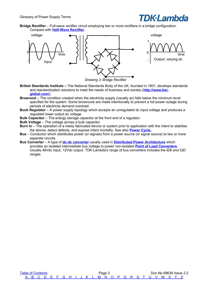

<span id="page-4-3"></span>**Bridge Rectifier** – Full-wave rectifier circuit employing two or more rectifiers in a bridge configuration. Compare with **[Half-Wave Rectifier](#page-16-1)**.



*Drawing 3: Bridge Rectifier*

- <span id="page-4-1"></span>**British Standards Institute –** The National Standards Body of the UK, founded in 1901, develops standards and standardization solutions to meet the needs of business and society.(**[http://www.bsi](http://www.bsi-global.com/)[global.com/](http://www.bsi-global.com/)**).
- <span id="page-4-0"></span>**Brownout** – The condition created when the electricity supply (usually ac) falls below the minimum level specified for the system. Some brownouts are made intentionally to prevent a full power outage during periods of electricity demand overload.
- <span id="page-4-4"></span>**Buck Regulator** – A power supply topology which accepts an unregulated dc input voltage and produces a regulated lower output dc voltage.
- **Bulk Capacitor** The energy storage capacitor at the front end of a regulator.
- <span id="page-4-5"></span>**Bulk Voltage** – The voltage across a bulk capacitor.
- <span id="page-4-6"></span>**Burn In** – The operation of a newly fabricated device or system prior to application with the intent to stabilise the device, detect defects, and expose infant mortality. See also **[Power Cycle.](#page-30-3)**
- **Bus** Conductor which distributes power (or signals) from a power source (or signal source) to two or more separate circuits.
- <span id="page-4-2"></span>**Bus Converter** – A type of **[dc-dc converter](#page-9-1)** usually used in **[Distributed Power Architecture](#page-10-1)** which provides an isolated intermediate bus voltage to power non-isolated **[Point of Load Converters](#page-30-2)**. Usually 48Vdc input, 12Vdc output. TDK-Lambda's range of bus converters includes the iEB and iQD ranges.

[Table of Contents](#page-1-0) **Table of Contents Page 3** Doc No 69639 Issue 2.2  [A](#page-2-0) [B](#page-3-0) [C](#page-5-0) [D](#page-9-0) [E](#page-11-0) [F](#page-13-0) [G](#page-15-0) [H](#page-16-0) [I](#page-18-0) [J](#page-20-0) [K](#page-21-0) [L](#page-22-0) [M](#page-24-0) [N](#page-26-0) [O](#page-27-0) [P](#page-29-0) [Q](#page-32-0) [R](#page-33-0) [S](#page-35-0) [T](#page-39-0) [U](#page-41-0) [V](#page-42-0) [W](#page-43-0) [X](#page-44-0) [Y](#page-45-0) [Z](#page-46-0)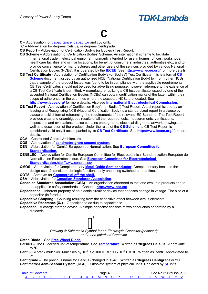## <span id="page-5-0"></span>**C**

- **C** Abbreviation for **[capacitance](#page-5-6)**, **[capacitor](#page-5-5)** and coulomb.
- **°C** Abbreviation for degrees Celsius, or degrees Centigrade.
- **CB Report** Abbreviation of Certification Body's (or Bodies') Test Report.
- <span id="page-5-4"></span>**CB Scheme** – Abbreviation of Certification Bodies' Scheme. An international scheme to facilitate international trade in electrical equipment, primarily intended for use in homes, offices, workshops, healthcare facilities and similar locations, for benefit of consumers, industries, authorities etc., and to provide convenience for manufacturers and other users of the services provided by various National Certification Bodies (NCBs). It is operated by the **[IECEE](#page-18-1)**. See **<http://www.iecee.org/>** for more details.
- <span id="page-5-3"></span>**CB Test Certificate** - Abbreviation of Certification Body's (or Bodies') Test Certificate. It is is a formal **[CB](#page-5-4)  [Scheme](#page-5-4)** document issued by an authorized NCB (National Certification Body) to inform other NCBs that a sample of the product tested was found to be in compliance with the applicable requirements. CB Test Certificates should not be used for advertising purpose, however reference to the existence of a CB Test Certificate is permitted. A manufacturer utilizing a CB test certificate issued by one of the accepted National Certification Bodies (NCBs) can obtain certification marks of the latter, within their scope of adherence, in the countries where the accepted NCBs are located. See **<http://www.iecee.org/>** for more details. Also see **[International Electrotechnical Commission](#page-19-2)**.
- **CB Test Report** Abbreviation of Certification Body's (or Bodies') Test Report. A test report issued by an Issuing and Recognizing NCB (National Certification Body).is a standardized report in a clause by clause checklist format referencing, the requirements of the relevant IEC Standard. The Test Report provides clear and unambiguous results of all the required tests, measurements, verifications, inspections and evaluations. It also contains photographs, electrical diagrams, artwork drawings as well as a description of the product. Under the rules of the **[CB Scheme](#page-5-4)**, a CB Test Report is considered valid only if accompanied by its **[CB Test Certificate](#page-5-3)**. See **<http://www.iecee.org/>** for more details.
- **CCA** Centralised Control Architecture.
- **CGS** Abbreviation of **[centimetre-gram-second system.](#page-5-2)**
- **CEN**  Abbreviation for Comité Européen de Normalisation. See **[European Committee for](#page-12-1)  [Standardisation.](#page-12-1)**
- **CENELEC**  Abbreviation for Comité European Committee for Electrotechnical Standardization.Européen de Normalisation Electrotechnique. See **[European Committee for Electrotechnical](#page-12-0)  [Standardization.](#page-12-0)**<http://www.cenelec.eu/>
- <span id="page-5-8"></span>**CMOS** – Abbreviation for Complementary **[Metal-Oxide Semiconductor](#page-24-2)**. Complementary because the design uses 2 transistors for logic functions, only one being switched on at a time.
- **COTS** Acronym for **[Commercial off the shelf.](#page-6-0)**
- **CSA**  Abbreviation for **[Canadian Standards Association](#page-5-1)**.
- <span id="page-5-1"></span>**Canadian Standards Association (CSA)** – An organisation chartered to test and evaluate products and to set applicable safety standards in Canada. **<http://www.csa.ca/>**
- <span id="page-5-6"></span>**Capacitance** – Inherent property of an electric circuit or device that opposes change in voltage. The size of a capacitor (in farads).
- **Capacitive Coupling**  Coupling resulting from the capacitive effect between circuit elements.
- **Capacitive Reactance**  $(X_c)$  **Opposition to ac due to capacitance.**
- <span id="page-5-5"></span>**Capacitor** – A charge storage device. A simple capacitor consists of two conductors separated by a dielectric.



*Drawing 4: Schematic Symbol for an Electrolytic Capacitor (polarised) and a non polarised Capacitor*

<span id="page-5-7"></span>**Catch Diode** – See **[Free Wheel Diode](#page-14-1)**.

- **Celsius –** The SI derived unit of temperature. See **[Temperature](#page-47-0)**. Written as '**degrees Celsius**'. Abbreviate to **°C**.
- **Centi** SI prefix multiplier. Multiplies by 10<sup>-2</sup>. So 100 cF = 100 x 10<sup>-2</sup> F = 1F. Written as 'centi'. Abbreviated to 'c'.

<span id="page-5-2"></span>**Centigrade** – The previous name for Celsius (changed in 1948). Written as '**degrees Centigrade**'or '**°C**'. **Centimetre-Gram-Second System (CGS)** – Obsolete system of physical units. Replaced by **[SI](#page-38-0)** units.

| <b>Table of Contents</b> |  |  |  |  |  |  | Page 4 |  |  |  |  |                                                     |  | Doc No 69639 Issue 2.2 |  |
|--------------------------|--|--|--|--|--|--|--------|--|--|--|--|-----------------------------------------------------|--|------------------------|--|
|                          |  |  |  |  |  |  |        |  |  |  |  | A B C D E F G H I J K L M N O P Q R S T U V W X Y Z |  |                        |  |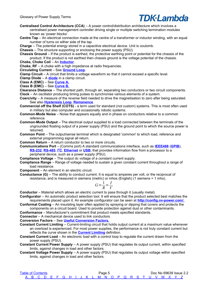

**Centralised Control Architecture (CCA)** – A power control/distribution architecture which involves a centralised power management controller driving single or multiple switching termination modules known as 'power blocks'.

**Centre Tap** – An electrical connection made at the centre of a transformer or inductor winding, with an equal number of turns on either side of the tap.

**Charge** – The potential energy stored in a capacitive electrical device. Unit is coulomb.

**Chassis** – The structure supporting or enclosing the power supply (PSU).

**Chassis Ground** – If the product is earthed, the protective earthing point or potential for the chassis of the product. If the product is not earthed then chassis ground is the voltage potential of the chassis.

**Choke, Choke Coil** – An **[Inductor](#page-18-4)**.

**Choke, RF** – A choke with a high impedance at radio frequencies.

**Circulating Current** – See **[Ground Loop](#page-15-2)**.

<span id="page-6-5"></span>**Clamp Circuit** – A circuit that limits a voltage waveform so that it cannot exceed a specific level.

**Clamp Diode** – A **[diode](#page-10-2)** in a clamp circuit.

**Class A (EMC)** – See **[Curve A](#page-8-2)[.](#page-8-1)**

**Class B (EMC)** – See **[Curve B.](#page-8-1)**

<span id="page-6-4"></span>**Clearance Distance** – The shortest path, through air, separating two conductors or two circuit components. **Clock** – An oscillator producing timing pulses to synchronise various elements of a system.

<span id="page-6-2"></span>**Coercivity** – A measure of the reverse field needed to drive the magnetisation to zero after being saturated. See also **[Hysteresis Loop](#page-17-0)**, **[Remanence](#page-33-4)**.

<span id="page-6-0"></span>**Commercial off the Shelf (COTS)** - a term used for standard (not custom) systems. This is most often used in military but also computer and occasionally robotic systems.

- **Common-Mode Noise** Noise that appears equally and in phase on conductors relative to a common reference.
- **Common-Mode Output** The electrical output supplied to a load connected between the terminals of the ungrounded floating output of a power supply (PSU) and the ground point to which the source power is returned.
- **Common Point** The output/sense terminal which is designated 'common' to which load, reference and external programming signal all return.

**Common Return** – A return conductor to two or more circuits.

<span id="page-6-1"></span>**Communications Port** – (Comms port) A standard communications interface, such as **[IEEE488](#page-18-3)** (**[GPIB](#page-15-1)**), **[RS-232](#page-33-3), [RS-485](#page-33-2), [I](#page-18-2)<sup>2</sup>C, [Ethernet](#page-12-2)** or [USB](#page-41-1), that provides information flow from a processor to a peripheral device, such as a power supply (PSU).

**Compliance Voltage** – The output dc voltage of a constant current supply.

**Compliance Range** – Range of voltage needed to sustain a given constant current throughout a range of load resistance.

**Component** – An element in an electric circuit.

<span id="page-6-3"></span>**Conductance (G)** – The ability to conduct current. It is equal to amperes per volt, or the reciprocal of resistance, and is measured in siemens (metric) or mhos (English) (1 siemens = 1 mho).

$$
G = \frac{1}{R} = \frac{I}{V}
$$

**Conductor** – Material which allows an electric current to pass through it (usually metal).

**Configurator** – An automatic product selection tool. It will ensure that the product selected best matches the requirements placed upon it. An example configurator can be seen at **[http://config.nv-power.com/.](http://config.nv-power.com/)**

**Conformal Coating** – An insulating layer often applied by spraying or dipping that covers and protects the components on a circuit board. Used to provide protection against dust or other contaminants.

**Conformance** – Manufacturer's commitment that product meets specified standards.

**Connector** – A mechanical device used to link conductors.

**Conversion Factors** – See **[Useful Conversion Factors.](#page-47-3)**

- **Constant Current Limiting**  Current-limiting circuit that holds output current at a maximum value whenever an overload is experienced. For most power supplies, the performance is not truly constant current but reflects the curve shown in the **[Current Limiting](#page-8-0)** definition.
- **Constant Current Load**  An electronic load with a control loop to regulate the current drawn from the power supply (PSU).
- **Constant Current Power Supply**  A power supply (PSU) that regulates its output current, within specified limits, against changes in load and other factors.
- **Constant Voltage Power Supply**  A power supply (PSU) that regulates its output voltage within specified limits, against changes in load and other factors.

[Table of Contents](#page-1-0) **Page 5** Page 5 Doc No 69639 Issue 2.2  [A](#page-2-0) [B](#page-3-0) [C](#page-5-0) [D](#page-9-0) [E](#page-11-0) [F](#page-13-0) [G](#page-15-0) [H](#page-16-0) [I](#page-18-0) [J](#page-20-0) [K](#page-21-0) [L](#page-22-0) [M](#page-24-0) [N](#page-26-0) [O](#page-27-0) [P](#page-29-0) [Q](#page-32-0) [R](#page-33-0) [S](#page-35-0) [T](#page-39-0) [U](#page-41-0) [V](#page-42-0) [W](#page-43-0) [X](#page-44-0) [Y](#page-45-0) [Z](#page-46-0)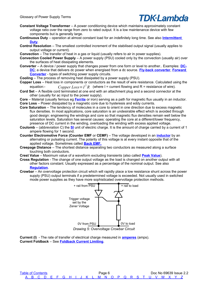- **Constant Voltage Transformer**  A power conditioning device which maintains approximately constant voltage ratio over the range from zero to rated output. It is a low maintenance device with few components but is generally large.
- <span id="page-7-4"></span>**Continuous Duty** – operation at almost constant load for an indefinitely long time. See also **[Intermittent](#page-19-3)  [Duty](#page-19-3)**.
- **Control Resolution**  The smallest controlled increment of the stabilised output signal (usually applies to output voltage or current).
- **Convection**  The transfer of heat in a gas or liquid (usually refers to air in power supplies).
- **Convection Cooled Power Supply**  A power supply (PSU) cooled only by the convection (usually air) over the surfaces of heat dissipating elements.
- **Converter**  A device / power supply that changes power from one form or level to another.. Examples: **[DC-](#page-9-1)[DC](#page-9-1)**; a device that delivers dc power when energised from a dc source. **[Fly-back converter](#page-13-3)**, **[Forward](#page-14-2)  [Converter](#page-14-2)** - types of switching power supply circuits.
- **Cooling**  The process of removing heat dissipated by a power supply (PSU).
- <span id="page-7-1"></span>**Copper Loss** – Heat loss in components or conductors as the result of wire resistance. Calculated using the equation:-  $Copper Loss = I^2 R$  (where I = current flowing and R = resistance of wire).
- <span id="page-7-6"></span>**Cord Set** – A flexible cord terminated at one end with an attachment plug and a second connector at the other (usually for ac input to the power supply).
- <span id="page-7-3"></span>**Core** – Material (usually ferrous eg **[Ferrite](#page-13-2)** or iron) serving as a path for magnetic flux usually in an inductor. **Core Loss** – Power dissipated by a magnetic core due to hysteresis and eddy currents.
- **Core Saturation**  The tendency of molecules in a core to orient in one direction due to excess magnetic flux densities. In most applications, core saturation is an undesirable effect which is avoided through good design: engineering the windings and core so that magnetic flux densities remain well below the saturation levels. Saturation has several causes: operating the core at a different/lower frequency, presence of DC current in the winding, overloading the winding with excess applied voltage.
- **Coulomb** (abbreviation C) the **[SI](#page-38-0)** unit of electric charge. It is the amount of charge carried by a current of 1 ampere flowing for 1 second.
- <span id="page-7-0"></span>**Counter Electromotive Force (Counter EMF** or **CEMF)** – The voltage developed in an **[inductor](#page-18-4)** by an alternating or pulsating current. The polarity of this voltage is at every instant opposite that of the applied voltage. Sometimes called **[Back EMF.](#page-3-6)**
- <span id="page-7-8"></span>**Creepage Distance** – The shortest distance separating two conductors as measured along a surface touching both conductors.
- **Crest Value**  Maximum value of a waveform excluding transients (also called **[Peak Value](#page-29-1)**).
- <span id="page-7-7"></span>**Cross Regulation** - The change of one output voltage as the load is changed on another output with all other factors constant. Usually expressed as a percentage of the nominal output. See also **[Regulation](#page-33-5)**.
- <span id="page-7-5"></span>**Crowbar** – An overvoltage protection circuit which will rapidly place a low resistance shunt across the power supply (PSU) output terminals if a predetermined voltage is exceeded. Not usually used in switched mode power supplies as they have more sophisticated overvoltage protection methods.



*Drawing 5: Overvoltage Crowbar Circuit*

<span id="page-7-2"></span>**Current (I)** - The rate of transfer of electrical charge measured in **[amperes](#page-2-5)** (amps). **Current Foldback** – See **[Foldback Current Limiting](#page-13-1)**.

[Table of Contents](#page-1-0) **Page 6** Page 6 Doc No 69639 Issue 2.2  [A](#page-2-0) [B](#page-3-0) [C](#page-5-0) [D](#page-9-0) [E](#page-11-0) [F](#page-13-0) [G](#page-15-0) [H](#page-16-0) [I](#page-18-0) [J](#page-20-0) [K](#page-21-0) [L](#page-22-0) [M](#page-24-0) [N](#page-26-0) [O](#page-27-0) [P](#page-29-0) [Q](#page-32-0) [R](#page-33-0) [S](#page-35-0) [T](#page-39-0) [U](#page-41-0) [V](#page-42-0) [W](#page-43-0) [X](#page-44-0) [Y](#page-45-0) [Z](#page-46-0)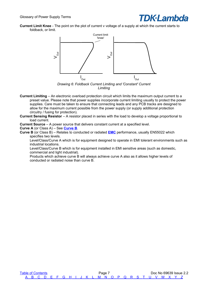

**Current Limit Knee** - The point on the plot of current v voltage of a supply at which the current starts to foldback, or limit.



*Drawing 6: Foldback Current Limiting and 'Constant' Current Limiting*

- <span id="page-8-0"></span>**Current Limiting** – An electronic overload protection circuit which limits the maximum output current to a preset value. Please note that power supplies incorporate current limiting usually to protect the power supplies. Care must be taken to ensure that connecting leads and any PCB tracks are designed to allow for the maximum current possible from the power supply (or supply additional protection circuitry / fusing for protection).
- **Current Sensing Resistor**  A resistor placed in series with the load to develop a voltage proportional to load current.

**Current Source** – A power source that delivers constant current at a specified level.

<span id="page-8-2"></span>**Curve A** (or Class A) – See **[Curve B](#page-8-1)**.

<span id="page-8-1"></span>**Curve B** (or Class B) – Relates to conducted or radiated **[EMC](#page-11-2)** performance, usually EN55022 which specifies two levels.

Level/Class/Curve A which is for equipment designed to operate in EMI tolerant environments such as industrial locations.

Level/Class/Curve B which is for equipment installed in EMI sensitive areas (such as domestic, commercial and light industrial).

Products which achieve curve B will always achieve curve A also as it allows higher levels of conducted or radiated noise than curve B.

[Table of Contents](#page-1-0) **Table of Contents Page 7** Doc No 69639 Issue 2.2  [A](#page-2-0) [B](#page-3-0) [C](#page-5-0) [D](#page-9-0) [E](#page-11-0) [F](#page-13-0) [G](#page-15-0) [H](#page-16-0) [I](#page-18-0) [J](#page-20-0) [K](#page-21-0) [L](#page-22-0) [M](#page-24-0) [N](#page-26-0) [O](#page-27-0) [P](#page-29-0) [Q](#page-32-0) [R](#page-33-0) [S](#page-35-0) [T](#page-39-0) [U](#page-41-0) [V](#page-42-0) [W](#page-43-0) [X](#page-44-0) [Y](#page-45-0) [Z](#page-46-0)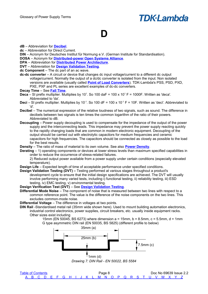### <span id="page-9-0"></span>**D**

#### **dB** – Abbreviation for **[Decibel](#page-9-3)**.

**dc** – Abbreviation for Direct Current.

**DIN** – Acronym for Deutsches Institut für Normung e.V. (German Institute for Standardisation). **DOSA** – Acronym for **[Distributed-power Open Systems Alliance](#page-10-3)**.

- **DPA** Abbreviation for **[Distributed Power Architecture](#page-10-1)**.
- **DVT** Abbreviation for **[Design Validation Testing](#page-9-2)**.

**dc Component** – The dc part of an ac wave.

<span id="page-9-1"></span>**dc-dc converter** – A circuit or device that changes dc input voltage/current to a different dc output voltage/current. Normally the output of a dc/dc converter is isolated from the input. Non isolated versions are available (usually called **[Point of Load Converters](#page-30-2)**). TDK-Lambda's PSS, PSD, PXD, PXE, PXF and PL series are excellent examples of dc-dc converters.

**Decay Time** – See **[Fall Time](#page-13-4)**.

- **Deca** SI prefix multiplier. Multiplies by 10<sup>1</sup>. So 100 daF = 100 x 10<sup>1</sup> F = 1000F. Written as 'deca'. Abbreviated to 'da'.
- **Deci** SI prefix multiplier. Multiplies by 10<sup>-1</sup>. So 100 dF = 100 x 10<sup>-1</sup> F = 10F. Written as 'deci'. Abbreviated to 'd'.
- <span id="page-9-3"></span>**Decibel** – The numerical expression of the relative loudness of two signals, such as sound. The difference in decibels between two signals is ten times the common logarithm of the ratio of their powers. Abbreviated to dB.
- <span id="page-9-5"></span>**Decoupling** – Power supply decoupling is used to compensate for the impedance of the output of the power supply and the interconnecting leads. This impedance may prevent the power supply reacting quickly to the rapidly changing loads that are common in modern electronic equipment. Decoupling of the output should be carried out with electrolytic capacitors for medium frequencies and ceramic capacitors for high frequencies. The capacitors should be connected as closely as possible to the load for the best results.
- **Density**  The ratio of mass of material to its own volume. See also **[Power Density](#page-30-4)**.
- **Derating**  1) operating components or devices at lower stress levels than maximum specified capabilities in order to reduce the occurrence of stress-related failures.

2) Reduced output power available from a power supply under certain conditions (especially elevated temperature).

**Design Life** – Expected length of time of acceptable performance under specified conditions.

<span id="page-9-2"></span>**Design Validation Testing (DVT) –** Testing performed at various stages throughout a product's development cycle to ensure that the initial design specifications are achieved. The DVT will usually involve performing many varied tests, including i) functional testing, ii) reliability testing, iii) ESD testing, iv) EMC testing, v) environmental testing.

#### **Design Verification Test (DVT)** – See **[Design Validation Testing](#page-9-2)**.

**Differential Mode Noise** – The component of noise that is measured between two lines with respect to a common reference point. The value is the difference of the noise components on the two lines. This excludes common-mode noise.

**Differential Voltage** – The difference in voltages at two points.

<span id="page-9-4"></span>**DIN Rail** -Standardised metal rail (35mm wide shown here). Used to mount building automation electronics, industrial control electronics, power supplies, circuit breakers, etc. usually inside equipment racks. Other sizes exist including

> 15mm (EN 50045, BS 6273) where dimension a = 15mm, b = 8.5mm, c = 5.5mm, d = 1mm G type asymmetric DIN rail (EN 50035, BS 5825) (different profile to below)



*Drawing 7: DIN Rail - EN 50022, BS 5584*

| <b>Table of Contents</b> |  |  |  |  |  |  | Page 8 |  |  |  |  |                                                     |  | Doc No 69639 Issue 2.2 |
|--------------------------|--|--|--|--|--|--|--------|--|--|--|--|-----------------------------------------------------|--|------------------------|
|                          |  |  |  |  |  |  |        |  |  |  |  | A B C D E F G H I J K L M N O P Q R S T U V W X Y Z |  |                        |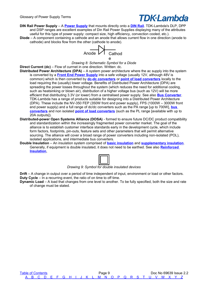**DIN Rail Power Supply** – A **[Power Supply](#page-30-1)** that mounts directly onto a **[DIN Rail](#page-9-4)**. TDK-Lambda's DLP, DPP and DSP ranges are excellent examples of Din Rail Power Supplies displaying many of the attributes useful for this type of power supply: compact size, high efficiency, convection cooled, etc.).

<span id="page-10-2"></span>**Diode** – A component containing a cathode and an anode that allows current flow in one direction (anode to cathode) and blocks flow from the other (cathode to anode).



*Drawing 8: Schematic Symbol for a Diode*

<span id="page-10-4"></span>**Direct Current (dc)** – Flow of currnet in one direction. Written: dc.

- <span id="page-10-1"></span>**Distributed Power Architecture (DPA)** – A system power architecture where the ac supply into the system is converted by a **[Front End Power Supply](#page-14-3)** into a safe voltage (usually 12V, although 48V is common) which is then converted by **[dc-dc converters](#page-9-1)** or **[point of load converters](#page-30-2)** locally to the load requiring the (usually) lower voltage. Benefits of Distributed Power Architecture (DPA) are spreading the power losses throughout the system (which reduces the need for additional cooling, such as heatsinking or blown air), distribution of a higher voltage bus (such as 12V) will be more efficient that distributing 3.3V (or lower) from a centralised power supply. See also **[Bus Converter](#page-4-2)**. TDK-Lambda has a range of products suitable for designing into a Distributed Power Architecture (DPA). These include the NV-350 FEP (350W front end power supply), FPS (1000W – 3000W front end power supply) and a full range of dc/dc converters such as the PA range [up to 700W], **[bus](#page-4-2)  [converters](#page-4-2)** and non isolated **[point of load converters](#page-30-2)** (such as the PL range [available with up to 20A outputs]).
- <span id="page-10-3"></span>**Distributed-power Open Systems Alliance (DOSA)** - formed to ensure future DC/DC product compatibility and standardization within the increasingly fragmented power converter market. The goal of the alliance is to establish customer interface standards early in the development cycle, which include form factors, footprints, pin-outs, feature sets and other parameters that will permit alternative sourcing. The alliance will cover a broad range of power converters including non-isolated (POL), isolated applications, and intermediate bus converters.
- <span id="page-10-0"></span>**Double Insulation** – An insulation system comprised of **[basic insulation](#page-3-7)** and **[supplementary insulation](#page-37-1)**. Generally, if equipment is double insulated, it does not need to be earthed. See also **[Reinforced](#page-33-1)  [Insulation](#page-33-1)**,

*Drawing 9: Symbol for double insulated devices*

**Drift** – A change in output over a period of time independent of input, environment or load or other factors. **Duty Cycle** – In a recurring event, the ratio of on time to off time.

**Dynamic Load** – A load that changes from one level to another. To be fully specified, both the size and rate of change must be stated.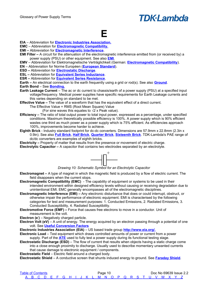### <span id="page-11-0"></span>**E**

**EIA** – Abbreviation for **[Electronic Industries Association.](#page-11-5)**

**EMC** – Abbreviation for **[Electromagnetic Compatibility.](#page-11-2)**

- **EMI –** Abbreviation for **[Electromagnetic Interference](#page-11-4)**.
- **EMI Filter –** A circuit for the attenuation of the electromagnetic interference emitted from (or received by) a power supply (PSU) or other equipment. See also **[EMI](#page-11-4)**.
- **EMV**  Abbreviation for Elektromagnetische Verträglichkeit (German: **[Electromagnetic Compatibility](#page-11-2)**).

**EN** – Abbreviation for Norme Européen (**[European Standard](#page-12-5)**).

- **ESD –** Abbreviation for **[Electrostatic Discharge](#page-11-3)**.
- **ESL –** Abbreviation for **[Equivalent Series Inductance](#page-12-4)**.
- **ESR –** Abbreviation for **[Equivalent Series Resistance](#page-12-3)**.

**Earth –** An electrical connection to the earth frequently using a grid or rod(s). See also **[Ground](#page-15-3)**.

**Earth Bond** – See **[Bonding.](#page-3-8)**

- <span id="page-11-8"></span>**Earth Leakage Current** – The ac or dc current to chassis/earth of a power supply (PSU) at a specified input voltage/frequency. Medical power supplies have specific requirements for Earth Leakage currents and this varies depending on standard to be met.
- **Effective Value –** The value of a waveform that has the equivalent effect of a direct current.

The Effective Value = RMS (Root Mean Square) Value

(For sine waves this equates to  $\sqrt{2}$  x Peak value).

- **Efficiency** The ratio of total output power to total input power, expressed as a percentage, under specified conditions. Maximum theoretically possible efficiency is 100%. A power supply which is 90% efficient wastes one third as much power as a power supply which is 75% efficient. As efficiencies approach 100%, improvements become harder to achieve.
- <span id="page-11-7"></span>**Eighth Brick** - Industry standard footprint for dc-dc converters. Dimensions are 57.9mm x 22.8mm (2.3in x 0.9in). See also **[Full Brick](#page-14-0)**, **[Half Brick](#page-16-2)**, **[Quarter Brick](#page-32-1)**, **[Sixteenth Brick](#page-37-2)**. TDK-Lambda's PAE range of dc/dc converters are examples of eighth bricks.

**Electricity –** Property of matter that results from the presence or movement of electric charge.

**Electrolytic Capacitor –** A capacitor that contains two electrodes separated by an electrolyte.



*Drawing 10: Schematic Symbol for an Electrolytic Capacitor*

- **Electromagnet –** A type of magnet in which the magnetic field is produced by a flow of electric current. The field disappears when the current stops.
- <span id="page-11-2"></span>**Electromagnetic Compatibility (EMC)** - The capability of equipment or systems to be used in their intended environment within designed efficiency levels without causing or receiving degradation due to unintentional EMI. EMC generally encompasses all of the electromagnetic disciplines.
- <span id="page-11-4"></span>**Electromagnetic Interference (EMI) –** Any electronic disturbance that does or could interrupt, obstruct, or otherwise impair the performance of electronic equipment. EMI is characterised by the following categories for test and measurement purposes: 1. Conducted Emissions, 2. Radiated Emissions, 3. Conducted Susceptibility, 4. Radiated Susceptibility.
- <span id="page-11-1"></span>**Electromotive Force (EMF) –** Force that causes free electrons to move in a conductor. Unit of measurement is the volt.

**Electron (e- )** – Negatively charged particle.

**Electron Volt (eV)** – A unit of energy. The energy acquired by an electron passing through a potential of one volt. See **[Useful Conversion Factors](#page-49-0)**

<span id="page-11-5"></span>**Electronic Industries Association (EIA)** – US based trade group **[http://www.eia.org/.](http://www.eia.org/)**

- **Electronic Load**  Test equipment which draws controlled amounts of power or current from a power supply. Part of the **[ATE](#page-2-2)** used to fully test a power supply during its functional testing stage.
- <span id="page-11-3"></span>**Electrostatic Discharge (ESD)** – The flow of current that results when objects having a static charge come into a close enough proximity to discharge. Usually used to describe momentary unwanted currents that cause damage to electronic equipment / components.

**Electrostatic Field** – Electric field around a charged body.

<span id="page-11-6"></span>**Electrostatic Shield** – A conductive screen that shunts induced energy to ground. See **[Faraday Shield](#page-13-5)**.

| <b>Table of Contents</b>                            |  |  |  |  |  | Page 10 |  |  |  |  |  |  | Doc No 69639 Issue 2.2 |
|-----------------------------------------------------|--|--|--|--|--|---------|--|--|--|--|--|--|------------------------|
| A B C D E F G H I J K L M N O P Q R S T U V W X Y Z |  |  |  |  |  |         |  |  |  |  |  |  |                        |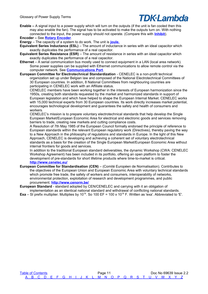<span id="page-12-6"></span>**Enable –** A signal input to a power supply which will turn on the outputs (if the unit is fan cooled then this may also enable the fan). The signal has to be activated to make the outputs turn on. With nothing connected to the input, the power supply should not operate. (Compare this with **[Inhibit](#page-18-5)**).

**Encoder –** See **[Rotary Encoder](#page-34-0)**.

- <span id="page-12-7"></span>**Energy** – The capacity of a system to do work. The unit is **[joule.](#page-20-1)**
- <span id="page-12-4"></span>**Equivalent Series Inductance (ESL)** – The amount of inductance in series with an ideal capacitor which exactly duplicates the performance of a real capacitor.
- <span id="page-12-3"></span>**Equivalent Series Resistance (ESR)** – The amount of resistance in series with an ideal capacitor which exactly duplicates the performance of a real capacitor.
- <span id="page-12-2"></span>**Ethernet** – A serial communication bus mostly used to connect equipment in a LAN (local area network). Some power supplies can be supplied with Ethernet communications to allow remote control via the computer network. See **[Communications Port](#page-6-1)**.
- <span id="page-12-0"></span>**European Committee for Electrotechnical Standardization** - CENELEC is a non-profit technical organization set up under Belgian law and composed of the National Electrotechnical Committees of 30 European countries. In addition, 8 National Committees from neighbouring countries are participating in CENELEC work with an Affiliate status.

CENELEC members have been working together in the interests of European harmonization since the 1950s, creating both standards requested by the market and harmonized standards in support of European legislation and which have helped to shape the European Internal Market. CENELEC works with 15,000 technical experts from 30 European countries. Its work directly increases market potential, encourages technological development and guarantees the safety and health of consumers and workers.

CENELEC's mission is to prepare voluntary electrotechnical standards that help develop the Single European Market/European Economic Area for electrical and electronic goods and services removing barriers to trade, creating new markets and cutting compliance costs.

A Resolution of 7th May 1985 of the European Council formally endorsed the principle of reference to European standards within the relevant European regulatory work (Directives), thereby paving the way to a New Approach in the philosophy of regulations and standards in Europe. In the light of this New Approach, CENELEC is developing and achieving a coherent set of voluntary electrotechnical standards as a basis for the creation of the Single European Market/European Economic Area without internal frontiers for goods and services.

In addition to the traditional European standard deliverables, the dynamic Workshop (CWA: CENELEC Workshop Agreement) has been included in its portfolio, offering an open platform to foster the development of pre-standards for short lifetime products where time-to-market is critical. **<http://www.cenelec.eu/>**

- <span id="page-12-1"></span>**European Committee for Standardisation (CEN)** – (Comité Européen de Normalisation). Contributes to the objectives of the European Union and European Economic Area with voluntary technical standards which promote free trade, the safety of workers and consumers, interoperability of networks, environmental protection, exploitation of research and development programmes, and public procurement. **<http://www.cenorm.be/>**
- <span id="page-12-5"></span>**European Standard** - standard adopted by CEN/CENELEC and carrying with it an obligation of implementation as an identical national standard and withdrawal of conflicting national standards.
- **Exa** SI prefix multiplier. Multiplies by 10<sup>18</sup>. So 100 EF = 100 x 10<sup>18</sup> F. Written as 'exa'. Abbreviated to 'E'.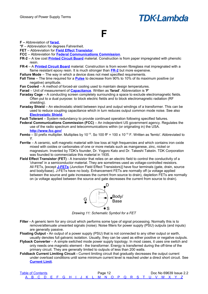#### <span id="page-13-0"></span>**F**

#### **F –** Abbreviation of **[farad.](#page-13-9)**

**°F** – Abbreviation for degrees Fahrenheit.

- **FET**  Abbreviation for **[Field Effect Transistor](#page-13-8)**.
- **FCC**  Abbreviation for **[Federal Communications Commission](#page-13-7)**.
- <span id="page-13-6"></span>**FR-2** – A low cost **[Printed Circuit Board](#page-31-1)** material. Construction is from paper impregnated with phenolic resin.
- <span id="page-13-11"></span>**FR-4** – A **[Printed Circuit Board](#page-31-1)** material. Construction is from woven fibreglass mat impregnated with a flame resistant epoxy resin. It is much stronger than **[FR-2](#page-13-6)** but more expensive.
- **Failure Mode**  The way in which a device does not meet specified requirements.
- <span id="page-13-4"></span>**Fall Time** – The time required for a **[Pulse](#page-31-0)** to decrease from 90% to 10% of its maximum positive (or negative) amplitude.
- **Fan Cooled**  A method of forced-air cooling used to maintain design temperatures.
- <span id="page-13-9"></span>**Farad** – Unit of measurement of **[Capacitance](#page-5-6)**. Written as '**farad**'. Abbreviation is '**F**'
- **Faraday Cage** A conducting screen completely surrounding a space to exclude electromagnetic fields. Often put to a dual purpose: to block electric fields and to block electromagnetic radiation (RF shielding).
- <span id="page-13-5"></span>**Faraday Shield** – An electrostatic shield between input and output windings of a transformer. This can be used to reduce coupling capacitance which in turn reduces output common mode noise. See also **[Electrostatic Shield](#page-11-6)**.
- **Fault Tolerant**  System redundancy to provide continued operation following specified failures.
- <span id="page-13-7"></span>**Federal Communications Commission (FCC)** – An independent US government agency. Regulates the use of the radio spectrum and telecommunications within (or originating in) the USA. **<http://www.fcc.gov/>**
- **Femto** SI prefix multiplier. Multiplies by 10<sup>-15</sup>. So 100 fF = 100 x 10<sup>-15</sup> F. Written as 'femto'. Abbreviated to 'f'.
- <span id="page-13-2"></span>**Ferrite** – A ceramic, soft magnetic material with low loss at high frequencies and which contains iron oxide mixed with oxides or carbonates of one or more metals such as manganese, zinc, nickel or magnesium. Invented by TDK's founder, Dr. Yogoro Kato and Dr. Takeshi Takeiin. TDK Corporation was founded to commercialize this material in 1935.
- <span id="page-13-8"></span>**Field Effect Transistor (FET)** - A transistor that relies on an electric field to control the conductivity of a 'channel' in a semiconductor material. They are sometimes used as voltage-controlled resistors. All FETs, [except **[J-FETs](#page-20-2)** (Junction Field Effect Transistors)] have four terminals (gate, drain, source and body/base). J-FETs have no body. Enhancement FETs are normally off (a voltage applied between the source and gate increases the current from source to drain), depletion FETs are normally on (a voltage applied between the source and gate decreases the current from source to drain).



*Drawing 11: Schematic Symbol for a FET*

- <span id="page-13-10"></span>**Filter - A generic term for any circuit which performs some type of signal processing. Normally this is to** remove/attenuate unwanted signals (noise). Noise filters for power supply (PSU) outputs (and inputs) are generally passive.
- **Floating Output** An output of a power supply (PSU) that is not connected to any other output or earth, usually denotes full galvanic isolation. Usually, they can be used as either positive or negative outputs.
- <span id="page-13-3"></span>**Flyback Converter** – A simple switched mode power supply topology. In most cases, it uses one switch and only needs one magnetic element - the transformer. Energy is transferred during the off-time of the primary circuit. They are generally limited to outputs of less than 200 watts.
- <span id="page-13-1"></span>**Foldback Current Limiting Circuit -** Current limiting circuit that gradually decreases the output current under overload conditions until some minimum current level is reached under a direct short circuit. See **[Current Limit](#page-8-0)**.

| <b>Table of Contents</b> |  |  |  |  |  |  | Page 12 |  |  |  |  |                                                     |  | Doc No 69639 Issue 2.2 |
|--------------------------|--|--|--|--|--|--|---------|--|--|--|--|-----------------------------------------------------|--|------------------------|
|                          |  |  |  |  |  |  |         |  |  |  |  | A B C D F F G H I J K L M N O P O R S T U V W X Y Z |  |                        |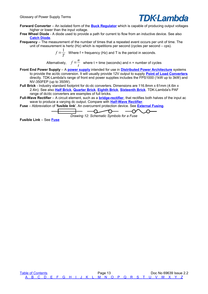

- <span id="page-14-2"></span>**Forward Converter** – An isolated form of the **[Buck Regulator](#page-4-4)** which is capable of producing output voltages higher or lower than the input voltage.
- <span id="page-14-1"></span>**Free Wheel Diode** - A diode used to provide a path for current to flow from an inductive device. See also **[Catch Diode](#page-5-7)**.
- <span id="page-14-5"></span>**Frequency** – The measurement of the number of times that a repeated event occurs per unit of time. The unit of measurement is hertz (Hz) which is repetitions per second (cycles per second – cps).

 $f=\frac{1}{\pi}$  $\frac{1}{T}$  Where f = frequency (Hz) and T is the period in seconds.

Alternatively,  $f = \frac{n}{4}$  $\frac{1}{t}$  where t = time (seconds) and n = number of cycles

- <span id="page-14-3"></span>**Front End Power Supply** – A **[power supply](#page-30-1)** intended for use in **[Distributed Power Architecture](#page-10-1)** systems to provide the ac/dc conversion. It will usually provide 12V output to supply **[Point of Load Converters](#page-30-2)** directly. TDK-Lambda's range of front end power supplies includes the FPS1000 (1kW up to 3kW) and NV-350FEP (up to 350W).
- <span id="page-14-0"></span>**Full Brick** - Industry standard footprint for dc-dc converters. Dimensions are 116.8mm x 61mm (4.6in x 2.4in). See also **[Half Brick](#page-16-2)**, **[Quarter Brick](#page-32-1)**, **[Eighth Brick](#page-11-7)**, **[Sixteenth Brick](#page-37-2)**. TDK-Lambda's PAF range of dc/dc converters are examples of full bricks.
- <span id="page-14-6"></span>**Full-Wave Rectifier** – A circuit element, such as a **[bridge-rectifier](#page-4-3)**, that rectifies both halves of the input ac wave to produce a varying dc output. Compare with **[Half-Wave Rectifier](#page-16-1)**.
- <span id="page-14-4"></span>**Fuse** – Abbreviation of '**fusible link**'. An overcurrent protection device. See **[External Fusing](#page-57-0)**.

*Drawing 12: Schematic Symbols for a Fuse*

**Fusible Link** – See **[Fuse](#page-14-4)**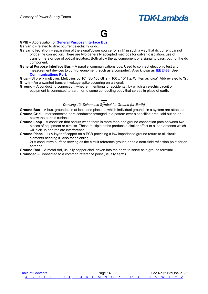## <span id="page-15-0"></span>**G**

#### **GPIB –** Abbreviation of **[General Purpose Interface Bus](#page-15-1)**.

**Galvanic** - related to direct-current electricity or dc.

- **Galvanic Isolation** separation of the signal/power source (or sink) in such a way that dc current cannot bridge the connection. There are two generally accepted methods for galvanic isolation: use of transformers or use of optical isolators. Both allow the ac component of a signal to pass, but not the dc component.
- <span id="page-15-1"></span>**General Purpose Interface Bus** – A parallel communications bus. Used to connect electronic test and measurement devices to control equipment (such as a computer). Also known as **[IEEE488](#page-18-3)**. See **[Communications Port](#page-6-1)**.

Giga – SI prefix multiplier. Multiplies by 10<sup>9</sup>. So 100 GHz = 100 x 10<sup>9</sup> Hz. Written as 'giga'. Abbreviated to 'G'. **Glitch** – An unwanted transient voltage spike occurring on a signal.

<span id="page-15-3"></span>**Ground** – A conducting connection, whether intentional or accidental, by which an electric circuit or equipment is connected to earth, or to some conducting body that serves in place of earth.

*Drawing 13: Schematic Symbol for Ground (or Earth)*

**Ground Bus** – A bus, grounded in at least one place, to which individual grounds in a system are attached. **Ground Grid** – Interconnected bare conductor arranged in a pattern over a specified area, laid out on or

- <span id="page-15-2"></span>below the earth's surface. **Ground Loop** – A condition that occurs when there is more than one ground connection path between two
- pieces of equipment or circuits. These multiple paths produce a similar effect to a loop antenna which will pick up and radiate interference.
- **Ground Plane** 1) A layer of copper on a PCB providing a low impedance ground return to all circuit elements needing it. Also for shielding.

2) A conductive surface serving as the circuit reference ground or as a near-field reflection point for an antenna

**Ground Rod** – A metal rod, usually copper clad, driven into the earth to serve as a ground terminal. **Grounded** – Connected to a common reference point (usually earth).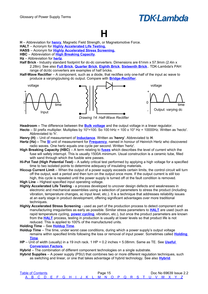### <span id="page-16-0"></span>**H**

**H** – Abbreviation for **[henry](#page-16-10)**, Magnetic Field Strength, or Magnetomotive Force.

- **HALT** Acronym for **[Highly Accelerated Life Testing.](#page-16-6)**
- **HASS** Acronym for **[Highly Accelerated Stress Screening.](#page-16-9)**
- **HBC** Abbreviation of **[High Breaking Capacity](#page-16-8)**.
- **Hz** Abbreviation for **[hertz](#page-16-7)**.
- <span id="page-16-2"></span>**Half Brick** - Industry standard footprint for dc-dc converters. Dimensions are 61mm x 57.9mm (2.4in x 2.28in). See also **[Full Brick](#page-14-0)**, **[Quarter Brick](#page-32-1)**, **[Eighth Brick](#page-11-7)**, **[Sixteenth Brick](#page-37-2)**.. TDK-Lambda's PAH range of dc/dc converters are examples of half bricks.
- <span id="page-16-1"></span>**Half-Wave Rectifier** – A component, such as a diode, that rectifies only one-half of the input ac wave to produce a varying/pulsing dc output. Compare with **[Bridge-Rectifier](#page-4-3)**.



*Drawing 14: Half-Wave Rectifier*

- **Headroom –** The difference between the **[Bulk voltage](#page-4-5)** and the output voltage in a linear regulator.
- **Hecto** SI prefix multiplier. Multiplies by 10<sup>2</sup>=100. So 100 hHz = 100 x 10<sup>2</sup> Hz = 10000Hz. Written as 'hecto'. Abbreviated to 'h'.
- <span id="page-16-10"></span>**Henry (H)** – Unit of measurement of **[Inductance](#page-18-6)**. Written as '**henry**'. Abbreviated to **H**.
- <span id="page-16-7"></span>**Hertz (Hz) –** The **[SI](#page-38-0)** unit of measurement for **[Frequency](#page-14-5)**, named in honour of Heinrich Hertz who discovered radio waves. One hertz equals one cycle per second. Written 'hertz'.
- <span id="page-16-8"></span>**High Breaking Capacity (HBC)** – A term relating to **[fuses](#page-14-4)** which describes the level of current which the fuse will safely interrupt. This is usually 1500A minimum. Usual construction is a ceramic tube, filled with sand through which the fusible wire passes.
- **Hi-Pot Test (High Potential Test)** A safety critical test performed by applying a high voltage for a specified time to two isolated points to determine adequacy of insulating materials.
- **Hiccup Current Limit** When the output of a power supply exceeds certain limits, the control circuit will turn off the output, wait a period and then turn on the output once more. If the output current is still too high, this cycle is repeated until the power supply is turned off ot the fault condition is removed.
- <span id="page-16-11"></span>**High Line** – Highest specified input operating voltage.
- <span id="page-16-6"></span>**Highly Accelerated Life Testing** - a process developed to uncover design defects and weaknesses in electronic and mechanical assemblies using a selection of parameters to stress the product (including vibration, temperature changes, ac input level, etc.). It is a technique that addresses reliability issues at an early stage in product development, offering significant advantages over more traditional techniques.
- <span id="page-16-9"></span>**Highly Accelerated Stress Screening** - used as part of the production process to detect component and manufacturing irregularities as early as possible. Similar stress parameters to **[HALT](#page-16-6)** are used (such as rapid temperature cycling, **[power cycling](#page-30-3)**, vibration, etc.), but once the product parameters are known from the **[HALT](#page-16-6)** process, testing in production is usually at lower levels so that product life is not reduced. This is applied to 100% of the manufactured units.

<span id="page-16-4"></span>**Holding Time** – See **[Holdup Time](#page-16-5)**.

- <span id="page-16-5"></span>**Holdup Time** – The time, under worst case conditions, during which a power supply's output voltage remains within specified limits following the loss or removal of input power. Sometimes called **[Holding](#page-16-4)  [Time](#page-16-4)**.
- **HP** Unit of width (usually) in a 19 inch rack. 1 HP = 0.2 inches = 5.08mm. Same as TE. See **[Useful](#page-47-1)  [Conversion Factors](#page-47-1)**.
- <span id="page-16-3"></span>**Hybrid** – The combination of different component technologies on a single substrate.
- **Hybrid Supplies**  A power supply (PSU) that combines two or more different regulation techniques, such as switching and linear, or one that takes advantage of hybrid technology. See also **[Hybrid](#page-16-3)**.

| <b>Table of Contents</b> |  |  |  |  |  | Page 15 |  |  |  |  |                                                     |  | Doc No 69639 Issue 2.2 |
|--------------------------|--|--|--|--|--|---------|--|--|--|--|-----------------------------------------------------|--|------------------------|
|                          |  |  |  |  |  |         |  |  |  |  | A B C D E F G H I J K L M N O P Q R S T U V W X Y Z |  |                        |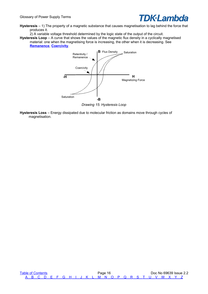

**Hysteresis** – 1) The property of a magnetic substance that causes magnetisation to lag behind the force that produces it.

2) A variable voltage threshold determined by the logic state of the output of the circuit.

<span id="page-17-0"></span>**Hysteresis Loop** – A curve that shows the values of the magnetic flux density in a cyclically magnetised material: one when the magnetising force is increasing, the other when it is decreasing. See **[Remanence](#page-33-4)**, **[Coercivity](#page-6-2)**.



**Hysteresis Loss** – Energy dissipated due to molecular friction as domains move through cycles of magnetisation.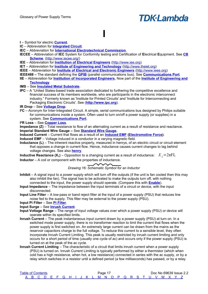#### **I** – Symbol for electric **[Current](#page-7-2)**.

**IC** – Abbreviation for **[Integrated Circuit](#page-19-9)**.

- **IEC**  Abbreviation for **[International Electrotechnical Commission](#page-19-2)**.
- <span id="page-18-1"></span>**IECEE** – Abbreviation of **IEC** System for Conformity testing and Certification of **E**lectrical **E**quipment. See **[CB](#page-5-4) [Scheme](#page-5-4)**. [\(http://www.iecee.org/\)](http://www.iecee.org/)

<span id="page-18-0"></span>**I**

**IEE** – Abbreviation for **[Institution of Electrical Engineers](#page-19-8)** [\(http://www.iee.org\)](http://www.iee.org/)

**IET** – Abbreviation for **[Institute of Engineering and Technology](#page-19-5)** [\(http://www.theiet.org\)](http://www.theiet.org/)

- **IEEE**  Abbreviation for **[Institute of Electrical and Electronic Engineers](#page-19-7)** [\(http://www.ieee.org\)](http://www.ieee.org/)
- <span id="page-18-3"></span>**IEEE488 –** The standard defining the **[GPIB](#page-15-1)** (parallel communications bus). See **[Communications Port](#page-6-1)**.

**IIE** – Abbreviation for **[Institution of Incorporated Engineers.](#page-19-6)** Now part of the **[Institute of Engineering and](#page-19-5) [Technology](#page-19-5)**

#### **IMS** – See **[Insulated Metal Substrate](#page-19-4)**.

- **IPC** A "United States-based trade association dedicated to furthering the competitive excellence and financial success of its members worldwide, who are participants in the electronic interconnect industry." Formerly known as 'Institute for Printed Circuits' and 'Institute for Interconnecting and Packaging Electronic Circuits'. See (**[http://www.ipc.org](http://www.ipc.org/)**).
- **IR Drop** See **[Voltage Drop](#page-42-2)**.
- <span id="page-18-2"></span>**I²C** – Acronym for Inter-Integrated Circuit. A simple, serial communications bus designed by Philips suitable for communications inside a system. Often used to turn on/off a power supply (or supplies) in a system. See **[Communications Port](#page-6-1)**.
- **I²R Loss**  See **[Copper Loss](#page-7-1)**.

<span id="page-18-9"></span>**Impedance (Z)** – Total resistance to flow of an alternating current as a result of resistance and reactance. **Imperial Standard Wire Gauge –** See **[Standard Wire Gauge.](#page-37-3)**

<span id="page-18-8"></span>**Induced Current** – Current that flows as a result of an **[Induced EMF](#page-18-8) [\(Electromotive Force\)](#page-11-1)**. **Induced EMF** – Voltage induced in a conductor in a varying magnetic field.

<span id="page-18-6"></span>**Inductance (L)** – The inherent reactive property, measured in henrys, of an electric circuit or circuit element that opposes a change in current flow. Hence, inductance causes current changes to lag behind voltage changes. See also **[henry](#page-16-10)**.

<span id="page-18-4"></span>**Inductive Reactance (X<sub>L</sub>)** – Opposition to a changing current as a result of inductance:  $X_i = 2\pi FL$ **Inductor** – A coil or component with the properties of inductance.

#### *Drawing 16: Schematic Symbol for an Inductor*

- <span id="page-18-5"></span>**Inhibit** – A signal input to a power supply which will turn off the outputs (if the unit is fan cooled then this may also inhibit the fan). The signal has to be activated to make the outputs turn off, with nothing connected to the input, the power supply should operate. (Compare this with **[Enable](#page-12-6)**).
- **Input Impedance**  The impedance between the input terminals of a circuit or device, with the input disconnected.
- **Input Line Filter**  A low-pass or band reject filter at the input of a power supply (PSU) that reduces line noise fed to the supply. This filter may be external to the power supply (PSU).

**Input Pi Filter** – See **[Pi Filter](#page-29-2)**.

**Input Surge** – See **[Inrush Current](#page-18-7)**.

- **Input Voltage Range**  The range of input voltage values over which a power supply (PSU) or device will operate within its specified limits.
- <span id="page-18-7"></span>**Inrush Current** – The peak instantaneous input current drawn by a power supply (PSU) at turn on. In a switched mode power supply, there is no transformer reaction to limit the current that flows when the power supply is first switched on. An extremely large current can be drawn from the mains as the reservoir capacitors charge to the full voltage. To reduce this current to a sensible level, they often incorporate Inrush Current Limiting. This peak is usually restricted by inrush current limiting and only occurs for a short period of time (usually one cycle of ac) and occurs only if the power supply (PSU) is turned on at the peak of the ac cycle.
- **Inrush Current Limiting**  The characteristic of a circuit that limits inrush current when a power supply (PSU) is turned on. Inrush Current Limiting is typically performed by either a thermistor (which when cold has a high resistance, when hot, a low resistance) connected in series with the ac supply, or by a relay which switches in a resistor until a defined period (a few milliseconds) has passed, or by a relay

| <b>Table of Contents</b> |  |  |  |  |  |  | Page 17 |  |  |  |  |                                                     |  | Doc No 69639 Issue 2.2 |
|--------------------------|--|--|--|--|--|--|---------|--|--|--|--|-----------------------------------------------------|--|------------------------|
|                          |  |  |  |  |  |  |         |  |  |  |  | A B C D E F G H I J K L M N O P Q R S T U V W X Y Z |  |                        |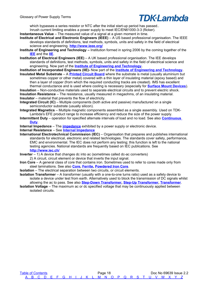Glossary of Power Supply Terms

### **TDK**·Lambda

which bypasses a series resistor or NTC after the initial start-up period has passed..

- Inrush current limiting enables a power supply to meet IEC/EN61000-3-3 (flicker).
- **Instantaneous Value** The measured value of a signal at a given moment in time.
- <span id="page-19-7"></span>**Institute of Electrical and Electronic Engineers (IEEE)** – A US based professional organisation. The IEEE develops standards of definitions, test methods, symbols, units and safety in the field of electrical science and engineering. **<http://www.ieee.org/>**
- <span id="page-19-5"></span>**Institute of Engineering and Technology –** Institution formed in spring 2006 by the coming together of the **[IEE](#page-19-8)** and the **[IIE](#page-19-6)**.
- <span id="page-19-8"></span>**Institution of Electrical Engineers (IEE)** – A UK based professional organisation. The IEE develops standards of definitions, test methods, symbols, units and safety in the field of electrical science and engineering. Now part of the **[Institute of Engineering and Technology.](#page-19-5)**

<span id="page-19-6"></span>**Institution of Incorporated Engineers (IIE)-** Now part of the **[Institute of Engineering and Technology.](#page-19-5) Insulated Metal Substrate** – A **[Printed Circuit Board](#page-31-1)** where the substrate is metal (usually aluminium but

<span id="page-19-4"></span>sometimes copper or other metal) covered with a thin layer of insulating material (epoxy based) and then a layer of copper (from which the required conducting tracks are created). IMS has excellent thermal conductance and is used where cooling is necessary (especially for **[Surface Mount Devices](#page-38-1)**).

<span id="page-19-1"></span>**Insulation** – Non-conductive materials used to separate electrical circuits and to prevent electric shock. **Insulation Resistance** – The resistance, usually measured in megaohms, of an insulating material. **Insulator** – material that prevents the flow of electricity.

<span id="page-19-9"></span><span id="page-19-0"></span>**Integrated Circuit (IC)** – Multiple components (both active and passive) manufactured on a single semiconductor substrate (usually silicon).

**Integrated Magnetics** – Multiple magnetic components assembled as a single assembly. Used on TDK-Lambda's EFE product range to increase efficiency and reduce the size of the power supply.

<span id="page-19-3"></span>**Intermittent Duty** – operation for specified alternate intervals of load and no load. See also **[Continuous](#page-7-4)  [Duty](#page-7-4)**.

<span id="page-19-10"></span>**Internal Impedance** – The **[impedance](#page-18-9)** exhibited by a power supply or electronic device. **Internal Resistance** – See **[Internal Impedance](#page-19-10)**

<span id="page-19-2"></span>**International Electrotechnical Commission (IEC)** – Organisation that prepares and publishes international standards for electrical, electronic and related technologies. The standards cover safety, performance, EMC and environmental. The IEC does not perform any testing; this function is left to the national testing agencies. National standards are frequently based on IEC publications. See **<http://www.iec.ch/>**

**Inverter** – 1) A device that changes dc into ac (sometimes called dc-ac converters) 2) A circuit, circuit element or device that inverts the input signal.

<span id="page-19-11"></span>**Iron Core** – A general class of core that contains iron. Sometimes used to refer to cores made only from steel laminations. See also **[Core,](#page-7-3) [Ferrite,](#page-13-2) [Powdered Iron Core](#page-30-5)**.

**Isolation** – The electrical separation between two circuits, or circuit elements.

<span id="page-19-12"></span>**Isolation Transformer** – A transformer (usually with a one-to-one turns ratio) used as a safety device to isolate a device under test from earth. Alternatively used to block the transmission of DC signals whilst allowing the ac to pass. See also **[Step-Down Transformer,](#page-37-5) [Step-Up Transformer,](#page-37-4) [Transformer](#page-40-1)**.

**Isolation Voltage** – The maximum ac or dc specified voltage that may be continuously applied between isolated circuits.

[Table of Contents](#page-1-0) **Page 18** Page 18 Doc No 69639 Issue 2.2  [A](#page-2-0) [B](#page-3-0) [C](#page-5-0) [D](#page-9-0) [E](#page-11-0) [F](#page-13-0) [G](#page-15-0) [H](#page-16-0) [I](#page-18-0) [J](#page-20-0) [K](#page-21-0) [L](#page-22-0) [M](#page-24-0) [N](#page-26-0) [O](#page-27-0) [P](#page-29-0) [Q](#page-32-0) [R](#page-33-0) [S](#page-35-0) [T](#page-39-0) [U](#page-41-0) [V](#page-42-0) [W](#page-43-0) [X](#page-44-0) [Y](#page-45-0) [Z](#page-46-0)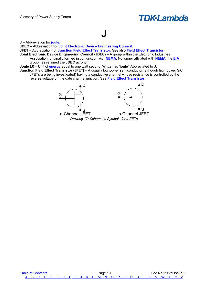## <span id="page-20-0"></span>**J**

**J** – Abbreviation for **[joule.](#page-20-1)**

**JDEC** – Abbreviation for **[Joint Electronic Device Engineering Council](#page-20-3)**.

**JFET** – Abbreviation for **[Junction Field Effect Transistor](#page-20-2)**. See also **[Field Effect Transistor](#page-13-8)**.

<span id="page-20-3"></span>**Joint Electronic Device Engineering Council (JDEC)** – A group within the Electronic Industries Association, originally formed in conjunction with **[NEMA](#page-26-1)**. No longer affiliated with **[NEMA](#page-26-1)**, the **[EIA](#page-11-5)** group has retained the **JDEC** acronym.

<span id="page-20-1"></span>**Joule (J)** – Unit of **[energy](#page-12-7)** equal to one watt second. Written as '**joule**'. Abbreviated to **J**.

<span id="page-20-2"></span>**Junction Field Effect Transistor (JFET)** – A usually low power semiconductor (although high power SiC JFETs are being investigated) having a conductive channel whose resistance is controlled by the reverse voltage on the gate channel junction. See **[Field Effect Transistor](#page-13-8)**.

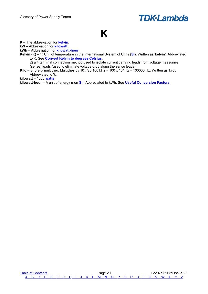### <span id="page-21-0"></span>**K**

**K** – The abbreviation for **[kelvin](#page-21-3)**.

**kW** – Abbreviation for **[kilowatt](#page-21-2)**.

**kWh** – Abbreviation for **[kilowatt-hour](#page-21-1)**.

<span id="page-21-3"></span>**Kelvin (K)** – 1) Unit of temperature in the International System of Units (**[SI](#page-38-0)**). Written as '**kelvin**'. Abbreviated to K. See **[Convert Kelvin to degrees Celsius](#page-48-2)**.

2) a 4 terminal connection method used to isolate current carrying leads from voltage measuring (sense) leads (used to eliminate voltage drop along the sense leads).

**Kilo** – SI prefix multiplier. Multiplies by 10<sup>3</sup>. So 100 kHz = 100 x 10<sup>3</sup> Hz = 100000 Hz. Written as 'kilo'. Abbreviated to 'k'.

<span id="page-21-2"></span>**kilowatt** – 1000 **[watts](#page-43-2)**.

<span id="page-21-1"></span>**kilowatt-hour** – A unit of energy (non **[SI](#page-38-0)**). Abbreviated to kWh. See **[Useful Conversion Factors](#page-49-0)**.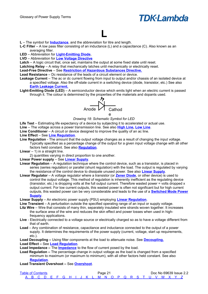

**L** – The symbol for **[Inductance](#page-18-6)**, and the abbreviation for litre and length.

<span id="page-22-1"></span>**L-C Filter** – A low pass filter consisting of an inductance (L) and a capacitance (C). Also known as an

<span id="page-22-0"></span>**L**

averaging filter. **LED** – Abbreviation for **[Light-Emitting Diode.](#page-22-6)**

**LVD** – Abbreviation for **[Low Voltage Directive](#page-23-1)**

Latch – A logic circuit that, once set, maintains the output at some fixed state until reset.

**Latching Relay** – A relay that mechanically latches until mechanically or electrically reset.

**Lead-Free Directive** – See **[Restriction of Hazardous Substances Directive.](#page-34-1)**

**Lead Resistance** – Dc resistance of the leads of a circuit element or device.

- **Leakage Current**  The ac or dc current flowing from input to output and/or chassis of an isolated device at a specified voltage. Also the off-state current in a switching device (diode, transistor, etc.) See also **[Earth Leakage Current.](#page-11-8)**
- <span id="page-22-6"></span>**Light-Emitting Diode (LED)** – A semiconductor device which emits light when an electric current is passed through it. The colour is determined by the properties of the materials and dopants used.



*Drawing 18: Schematic Symbol for LED*

Life Test – Estimating life expectancy of a device by subjecting it to accelerated or actual use.

**Line** – The voltage across a power transmission line. See also **[High Line,](#page-16-11) [Low Line](#page-23-0)**.

**Line Conditioner** – A circuit or device designed to improve the quality of an ac line.

#### **Line Effect** – See **[Line Regulation](#page-22-5)**.

<span id="page-22-5"></span>**Line Regulation** - The amount that the output voltage changes as a result of changing the input voltage. Typically specified as a percentage change of the output for a given input voltage change with all other

factors held constant. See also **[Regulation](#page-33-5)**.

**Linear** – 1) in a straight line.

2) quantities varying in direct proportion to one another.

**Linear Power supply** – See **[Linear Supply](#page-22-4)**.

- <span id="page-22-3"></span>**Linear Regulation** – A regulation technique where the control device, such as a transistor, is placed in series (series regulation) or parallel (shunt regulation) with the load. The output is regulated by varying the resistance of the control device to dissipate unused power. See also **[Linear Supply](#page-22-4)**.
- **Linear Regulator**  A voltage regulator where a transistor (or **[Zener Diode](#page-46-1)**, or other device) is used to control the output voltage. This method of regulation is inherently inefficient as the regulating device (transistor, etc.) is dropping volts at the full output current. Therefore wasted power = volts dropped x output current. For low current outputs, this wasted power is often not significant but for high current outputs, this wasted power can be very considerable and leads to the use of a **[Switched Mode Power](#page-38-2) [Supply](#page-38-2)**.

<span id="page-22-4"></span>**Linear Supply** – An electronic power supply (PSU) employing **[Linear Regulation](#page-22-3)**.

Line Transient – A perturbation outside the specified operating range of an input or supply voltage.

- **Litz Wire**  Wire that consists of many thin, separately insulated wire strands woven together. It increases the surface area of the wire and reduces the skin effect and power losses when used in highfrequency applications.
- **Live** Electrically connected to a voltage source or electrically charged so as to have a voltage different from that of earth.
- **Load**  Any combination of resistance, capacitance and inductance connected to the output of a power supply. It determines the requirements of the power supply (current, voltage, start up requirements, etc.).

**Load Decoupling –** Using filter components at the load to attenuate noise. See **[Decoupling.](#page-9-5)**

**Load Effect –** See **[Load Regulation](#page-22-2)**.

**Load Impedance –** The **[Impedance](#page-18-9)** to the flow of current posed by the load.

- <span id="page-22-2"></span>**Load Regulation –** The percentage change in output voltage as the load is changed from a specified minimum to maximum (or maximum to minimum), with all other factors held constant. See also **[Regulation](#page-33-5)**.
- **Load Transient Overshoot –** See **[Overshoot](#page-28-0)**.

| <b>Table of Contents</b> |  |  |  |  |  | Page z L |  |  |  |  |                                                     |  | Doc No 69639 Issue 2.2 |
|--------------------------|--|--|--|--|--|----------|--|--|--|--|-----------------------------------------------------|--|------------------------|
|                          |  |  |  |  |  |          |  |  |  |  | A B C D F F G H I J K L M N O P O R S T U V W X Y 2 |  |                        |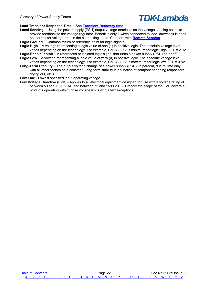#### **Load Transient Response Time –** See **[Transient Recovery time](#page-40-2)**.

- **Local Sensing** Using the power supply (PSU) output voltage terminals as the voltage sensing points to provide feedback to the voltage regulator. Benefit is only 2 wires connected to load, drawback is does not correct for voltage drop in the connecting leads. Compare with **[Remote Sensing](#page-33-6)**.
- **Logic Ground**  Common return or reference point for logic signals.
- **Logic High**  A voltage representing a logic value of one (1) in positive logic. The absolute voltage level varies depending on the technology. For example, CMOS 3.7V is minimum for logic High, TTL = 2.0V.
- **Logic Enable/Inhibit**  A referenced or isolated logic signal that turns a power supply (PSU) on or off. **Logic Low** – A voltage representing a logic value of zero (0) in positive logic. The absolute voltage level
- varies depending on the technology. For example, CMOS 1.3V is maximum for logic low, TTL = 0.8V. **Long-Term Stability** – The output voltage change of a power supply (PSU), in percent, due to time only,
- with all other factors held constant. Long-term stability is a function of component ageing (capacitors drying out, etc.).

<span id="page-23-0"></span>**Low Line** - Lowest specified input operating voltage.

<span id="page-23-1"></span>**Low Voltage Directive (LVD)** - Applies to all electrical equipment designed for use with a voltage rating of between 50 and 1000 V AC and between 75 and 1500 V DC. Broadly the scope of the LVD covers all products operating within those voltage limits with a few exceptions.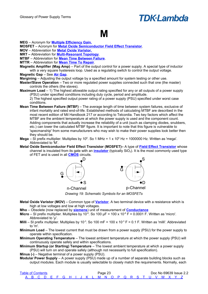#### <span id="page-24-3"></span><span id="page-24-0"></span>**M**

**MEG** – Acronym for **[Multiple Efficiency Gain.](#page-25-1)**

**MOSFET** – Acronym for **[Metal Oxide Semiconductor Field Effect Transistor](#page-24-2)**.

**MOV** – Abbreviation for **[Metal Oxide Varistor.](#page-24-5)**

**MRT –** Abbreviation for **[Multi-Resonant Topology](#page-25-0)**.

**MTBF** – Abbreviation for **[Mean Time Between Failure](#page-24-4)**.

- **MTTR**  Abbreviation for **[Mean Time To Repair](#page-24-3)**.
- <span id="page-24-6"></span>**Magnetic Amplifier (Mag Amp)** – Part of the output control for a power supply. A special type of inductor with a very square hysteresis loop. Used as a regulating switch to control the output voltage. **Magnetic Gap** – See **[Air Gap](#page-2-6)**.

<span id="page-24-7"></span>**Margining** – Adjusting the output voltage by a specified amount for system testing or other use.

- <span id="page-24-8"></span>**Master/Slave Operation** – Two or more regulated power supplies connected such that one (the master) controls the others (the slaves).
- **Maximum Load**  1) The highest allowable output rating specified for any or all outputs of a power supply (PSU) under specified conditions including duty cycle, period and amplitude.

2) The highest specified output power rating of a power supply (PSU) specified under worst case conditions.

- <span id="page-24-4"></span>**Mean Time Between Failure (MTBF)** – The average length of time between system failures, exclusive of infant mortality and rated end-of-life. Established methods of calculating MTBF are described in the most recent edition of Mil Handbook 217 or according to Telcordia. Two key factors which affect the MTBF are the ambient temperature at which the power supply is used and the component count. Adding components that actually increase the reliability of a unit (such as clamping diodes, snubbers, etc.) can lower the calculated MTBF figure. It is important to note that this figure is vulnerable to 'specmanship' from some manufacturers who may wish to make their power supplies look better then they should be.
- **Mega** SI prefix multiplier. Multiplies by 10<sup>6</sup>. So 1 MHz = 1 x 10<sup>6</sup> Hz = 1000000 Hz. Written as 'mega'. Abbreviated to 'M'.
- <span id="page-24-2"></span>**Metal Oxide Semiconductor Field Effect Transistor (MOSFET)–** A type of **[Field Effect Transistor](#page-13-8)** whose channel is insulated from its gate with an **[insulator](#page-19-0)** (typically SiO<sub>2</sub>). It is the most commonly used type of FET and is used in all **[CMOS](#page-5-8)** circuits.



*Drawing 19: Schematic Symbols for an MOSFETs*

- <span id="page-24-5"></span>**Metal Oxide Varistor (MOV)** – Common type of **[Varistor](#page-42-3)**. A two terminal device with a resistance which is high at low voltages and low at high voltages.
- **Mho**  Obsolete (now replaced by **[siemens](#page-36-1)**) unit of measurement of **[Conductance](#page-6-3)**
- **Micro** SI prefix multiplier. Multiplies by 10<sup>-6</sup>. So 100  $\mu$ F = 100 x 10<sup>-6</sup> F = 0.0001 F. Written as 'micro'. Abbreviated to 'µ'.

**Milli** – SI prefix multiplier. Multiplies by 10<sup>-3</sup>. So 100 mF = 100 x 10<sup>-3</sup> F = 0.1 F. Written as 'milli'. Abbreviated to 'm'.

- <span id="page-24-1"></span>**Minimum Load** – The lowest current that must be drawn from a power supply (PSU) for the power supply to operate within specification.
- **Minimum Operating Temperature**  The lowest ambient temperature at which the power supply (PSU) will continuously operate safely and within specifications.

**Minimum Startup (or Starting) Temperature** – The lowest ambient temperature at which a power supply (PSU) will turn on and operate safely (although not necessarily to full specification).

**Minus (-)** – Negative terminal of a power supply (PSU).

**Modular Power Supply** – A power supply (PSU) made up of a number of separate building blocks such as output modules. Each module is usually selectable to closely match the requirements. Normally, each

| <b>Table of Contents</b> |  |  |  |  |  | Page 23 |  |  |  |  |                                                     |  | Doc No 69639 Issue 2.2 |  |
|--------------------------|--|--|--|--|--|---------|--|--|--|--|-----------------------------------------------------|--|------------------------|--|
|                          |  |  |  |  |  |         |  |  |  |  | A B C D F F G H I J K L M N O P O R S T U V W X Y Z |  |                        |  |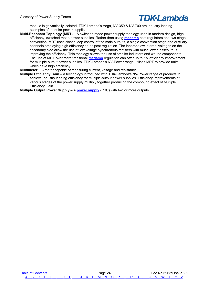

module is galvanically isolated. TDK-Lambda's Vega, NV-350 & NV-700 are industry leading examples of modular power supplies.

<span id="page-25-0"></span>**Multi-Resonant Topology** *(MRT)* – A switched mode power supply topology used in modern design, high efficiency, switched mode power supplies. Rather than using **[magamp](#page-24-6)** post regulators and two-stage conversion, MRT uses closed loop control of the main outputs, a single conversion stage and auxiliary channels employing high efficiency dc-dc post regulation. The inherent low internal voltages on the secondary side allow the use of low voltage synchronous rectifiers with much lower losses, thus improving the efficiency. This topology allows the use of smaller inductors and wound components. The use of MRT over more traditional **[magamp](#page-24-6)** regulation can offer up to 5% efficiency improvement for multiple output power supplies. TDK-Lambda's NV-Power range utilises MRT to provide units which have high efficiency.

**Multimeter** – A meter capable of measuring current, voltage and resistance.

<span id="page-25-1"></span>**Multiple Efficiency Gain** – a technology introduced with TDK-Lambda's NV-Power range of products to achieve industry leading efficiency for multiple-output power supplies. Efficiency improvements at various stages of the power supply multiply together producing the compound effect of Multiple Efficiency Gain.

<span id="page-25-2"></span>**Multiple Output Power Supply** – A **[power supply](#page-30-1)** (PSU) with two or more outputs.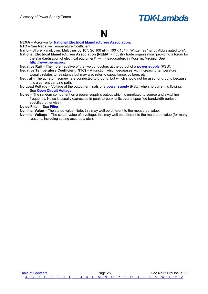### <span id="page-26-0"></span>**N**

**NEMA** – Acronym for **[National Electrical Manufacturers Association](#page-26-1)**.

**NTC** – See Negative Temperature Coefficient.

<span id="page-26-1"></span>**Nano** – SI prefix multiplier. Multiplies by 10<sup>-9</sup>. So 100 nF = 100 x 10<sup>-9</sup> F. Written as 'nano'. Abbreviated to 'n'. **National Electrical Manufacturers Association (NEMA)** - Industry trade organisation "providing a forum for

the standardisation of electrical equipment" with headquarters in Rosslyn, Virginia. See **<http://www.nema.org/>**.

<span id="page-26-3"></span>**Negative Rail** – The more negative of the two conductors at the output of a **[power supply](#page-30-1)** (PSU).

**Negative Temperature Coefficient (NTC)** – A function which decreases with increasing temperature. Usually relates to resistance but may also refer to capacitance, voltage, etc.

**Neutral** – The ac return somewhere connected to ground, but which should not be used for ground because it is a current carrying path.

<span id="page-26-2"></span>**No Load Voltage** – Voltage at the output terminals of a **[power supply](#page-30-1)** (PSU) when no current is flowing. See **[Open Circuit Voltage](#page-27-3)**.

**Noise** – The random component on a power supply's output which is unrelated to source and switching frequency. Noise is usually expressed in peak-to-peak units over a specified bandwidth (unless specified otherwise).

**Noise Filter** – See **[Filter.](#page-13-10)**

**Nominal Value** – The stated value. Note, this may well be different to the measured value.

**Nominal Voltage** – The stated value of a voltage, this may well be different to the measured value (for many reasons, including setting accuracy, etc.).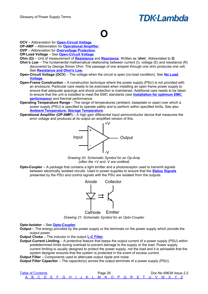## <span id="page-27-0"></span>**O**

**OCV** – Abbreviation for **[Open-Circuit Voltage](#page-27-3)**.

**OP-AMP** – Abbreviation for **[Operational Amplifier](#page-27-5)**.

**OVP** – Abbreviation for **[Overvoltage Protection](#page-28-1)**.

- **Off-Load Voltage** See **[Open-Circuit Voltage](#page-27-3)**.
- <span id="page-27-1"></span>**Ohm (Ω)** – Unit of measurement of **[Resistance](#page-34-2)** and **[Reactance](#page-33-7)**. Written as '**ohm**'. Abbreviated to **Ω**.
- **Ohm's Law** The fundamental mathematical relationship between current (I), voltage (E) and resistance (R) discovered by George Simon Ohm. The passage of one ampere through one ohm produces one volt. See **[Resistance and Ohm's Law.](#page-52-3)**
- <span id="page-27-3"></span>**Open-Circuit Voltage (OCV)** – The voltage when the circuit is open (no-load condition). See **[No Load](#page-26-2)  [Voltage](#page-26-2)**.
- **Open-Frame Construction** A construction technique where the power supply (PSU) is not provided with an enclosure. Particular care needs to be exercised when installing an open frame power supply to ensure that adequate spacings and shock protection is maintained. Additional care needs to be taken to ensure that the unit is installed to meet the EMC standards (see **[Installation for optimum EMC](#page-56-4)  [performance](#page-56-4)**) and thermal performance.
- <span id="page-27-2"></span>**Operating Temperature Range** – The range of temperatures (ambient, baseplate or case) over which a power supply (PSU) is specified to operate safely and to perform within specified limits. See also **[Ambient Temperature,](#page-2-7) [Storage Temperature](#page-37-0)**.
- <span id="page-27-5"></span>**Operational Amplifier (OP-AMP)** – A high gain differential input semiconductor device that measures the error voltage and produces at its output an amplified version of this.



*Drawing 20: Schematic Symbol for an Op-Amp (often the +V and -V are omitted)*

<span id="page-27-4"></span>**Opto-Coupler** – A package that contains a light emitter and a photoreceptor used to transmit signals between electrically isolated circuits. Used in power supplies to ensure that the **[Status Signals](#page-37-6)** presented by the PSU and control signals with the PSU are isolated from the outputs.



*Drawing 21: Schematic Symbol for an Opto-Coupler* Emitter Cathode

**Opto-Isolator** – See **[Opto-Coupler](#page-27-4)**.

**Output** – The energy provided by the power supply or the terminals on the power supply which provide the output power.

<span id="page-27-7"></span>**Output Choke** – The inductor in the output **[L-C Filter](#page-22-1)**.

<span id="page-27-6"></span>**Output Current Limiting** – A protective feature that keeps the output current of a power supply (PSU) within predetermined limits during overload to prevent damage to the supply or the load. Power supply current limiting is usually designed to protect the power supply, not the load and it is advisable that the system designer ensures that the system is protected in the event of excess current.

**Output Filter** – Components used to attenuate output ripple and noise.

**Output Filter Capacitor** – The capacitor(s) across the output terminals of a power supply (PSU).

| <b>Table of Contents</b> |  |  |  |  |  |  | Page 26 |  |  |  |  |                                                     |  | Doc No 69639 Issue 2.2 |
|--------------------------|--|--|--|--|--|--|---------|--|--|--|--|-----------------------------------------------------|--|------------------------|
|                          |  |  |  |  |  |  |         |  |  |  |  | A B C D E F G H I J K L M N O P Q R S T U V W X Y Z |  |                        |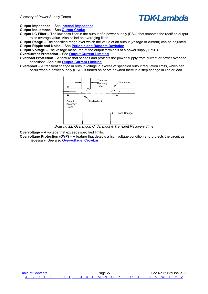

**Output Impedance** – See **[Internal Impedance](#page-19-10)**.

**Output Inductance –** See **[Output Choke](#page-27-7)**.

**Output LC Filter –** The low pass filter in the output of a power supply (PSU) that smooths the rectified output to its average value. Also called an averaging filter.

**Output Range –** The specified range over which the value of an output (voltage or current) can be adjusted. **Output Ripple and Noise –** See **[Periodic and Random Deviation](#page-29-3)**.

**Output Voltage –** The voltage measured at the output terminals of a power supply (PSU).

**Overcurrent Protection –** See **[Output Current Limiting](#page-27-6)**.

**Overload Protection** – A feature that senses and protects the power supply from current or power overload conditions. See also **[Output Current Limiting](#page-27-6)**.

<span id="page-28-0"></span>**Overshoot** – A transient change in output voltage in excess of specified output regulation limits, which can occur when a power supply (PSU) is turned on or off, or when there is a step change in line or load.



*Drawing 22: Overshoot, Undershoot & Transient Recovery Time*

<span id="page-28-2"></span>**Overvoltage** – A voltage that exceeds specified limits.

<span id="page-28-1"></span>**Overvoltage Protection (OVP)** – A feature that detects a high voltage condition and protects the circuit as necessary. See also **[Overvoltage,](#page-28-2) [Crowbar](#page-7-5)**.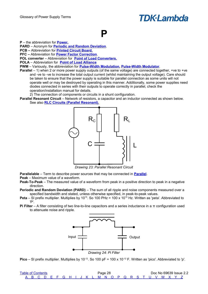#### <span id="page-29-0"></span>**P**

**P** – the abbreviation for **[Power.](#page-30-8)**

**PARD** – Acronym for **[Periodic and Random Deviation](#page-29-3)**.

- **PCB –** Abbreviation for **[Printed Circuit Board.](#page-31-1)**
- **PFC** Abbreviation for **[Power Factor Correction](#page-30-7)**.
- **POL converter** Abbreviation for **[Point of Load Converters.](#page-30-2)**
- **POLA**  Abbreviation for **[Point of Load Alliance](#page-30-6)**
- **PWM**  Variously, the abbreviation for **[Pulse-Width Modulation,](#page-31-3) [Pulse-Width Modulator](#page-31-2)**.
- <span id="page-29-4"></span>**Parallel** – 1) when 2 or more power supply outputs (of the same voltage) are connected together, +ve to +ve and -ve to -ve to increase the total output current (whilst maintaining the output voltage). Care should be taken to ensure that the power supply is suitable for parallel connection as some units will not operate well or may be destroyed by operating in this manner. Additionally, some power supplies need diodes connected in series with their outputs to operate correctly in parallel, check the operation/installation manual for details.
	- 2) The connection of components or circuits in a shunt configuration.
- <span id="page-29-5"></span>**Parallel Resonant Circuit** – Network of resistors, a capacitor and an inductor connected as shown below. See also **[RLC Circuits \(Parallel Resonant\).](#page-55-0)**



*Drawing 23: Parallel Resonant Circuit*

- **Parallelable** Term to describe power sources that may be connected in **[Parallel](#page-29-4)**.
- <span id="page-29-1"></span>**Peak** – Maximum value of a waveform.
- **Peak-To-Peak** The measured value of a waveform from peak in a positive direction to peak in a negative direction.
- <span id="page-29-3"></span>**Periodic and Random Deviation (PARD)** – The sum of all ripple and noise components measured over a specified bandwidth and stated, unless otherwise specified, in peak-to-peak values.
- **Peta** SI prefix multiplier. Multiplies by 10<sup>15</sup>. So 100 PHz = 100 x 10<sup>15</sup> Hz. Written as 'peta'. Abbreviated to 'P'.
- <span id="page-29-2"></span>**Pi Filter** – A filter consisting of two line-to-line capacitors and a series inductance in a π configuration used to attenuate noise and ripple.



**Pico** – SI prefix multiplier. Multiplies by 10<sup>-12</sup>. So 100 pF = 100 x 10<sup>-12</sup> F. Written as 'pico'. Abbreviated to 'p'.

| <b>Table of Contents</b> |  |  |  |  |  |  | Page 28 |  |  |  |  |                                                     |  | Doc No 69639 Issue 2.2 |
|--------------------------|--|--|--|--|--|--|---------|--|--|--|--|-----------------------------------------------------|--|------------------------|
|                          |  |  |  |  |  |  |         |  |  |  |  | A B C D E F G H I J K L M N O P Q R S T U V W X Y Z |  |                        |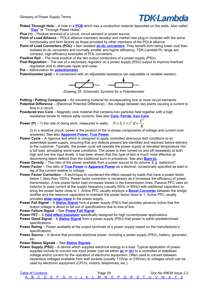- <span id="page-30-11"></span>**Plated Through Hole** – A hole in a **[PCB](#page-31-1)** which has a conductive material deposited on the walls. Also called "**[Vias](#page-42-4)**" or "Through Plated Holes".
- **Plus (+)** Positive terminal of a circuit, circuit element or power source.
- <span id="page-30-6"></span>**Point of Load Alliance** – POLA alliance members develop and market new plug-in modules with the same functionality and form factors as those provided by other members of the POLA alliance.
- <span id="page-30-2"></span>**Point of Load Converters (POL) –** Non isolated **[dc-dc converters](#page-9-1)**. They benefit from being lower cost than isolated dc-dc converters and normally smaller and higher efficiency. TDK-Lambda PL range are compact, high efficiency examples of POL converters.

<span id="page-30-12"></span>**Positive Rail** – The most positive of the two output conductors of a power supply (PSU).

Post Regulation – The use of a secondary regulator on a power supply (PSU) output to improve line/load regulation and to attenuate ripple and noise.

**Pot** – Abbreviation for **[potentiometer](#page-30-10)**.

<span id="page-30-10"></span>**Potentiometer (pot) –** A component with an adjustable resistance (an adjustable or variable resistor).



*Drawing 25: Schematic Symbols for a Potentiometer*

- **Potting / Potting Compound An insulating material for encapsulating one or more circuit elements.**
- <span id="page-30-0"></span>**Potential Difference** – (Electrical Potential Difference) – the voltage between two points causing a current to flow in a circuit.
- <span id="page-30-5"></span>**Powdered Iron Core** – Magnetic core material that contains iron particles held together with a high resistance binder to reduce eddy currents. See also **[Core,](#page-7-3) [Ferrite,](#page-13-2) [Iron Core](#page-19-11)**.

<span id="page-30-8"></span>**Power (P)** – 1) the rate of doing work, measured in watts.  $P = E I = I^2 R = \frac{E^2}{R}$ *R*

2) In a resistive circuit, power is the product of the in-phase components of voltage and current (voltamperes). See also **[Apparent Power,](#page-2-8) [True Power](#page-40-3)**.

- <span id="page-30-3"></span>**Power Cycle** – A rigorous test which is designed to apply controlled strenuous test conditions to an assembled power supply, ensuring that any defects present are identified and resolved before delivery to the customer. Typically, the power cycle will operate the power supply at elevated temperature into a full load, simulating worst case conditions. The power is then turned on and off repeatedly at both high and low line input levels. It has been shown that this type of test is much more effective at discovering latent defects than the traditional burn-in procedure. See also **[Burn In.](#page-4-6)**
- <span id="page-30-4"></span>**Power Density** – The ratio of the power available from a power source to its volume. E.g. watts/inch<sup>3</sup>. **Power Factor** – The ratio of **[True Power](#page-40-3)** to **[Apparent Power](#page-2-8)** as a decimal, occasionally specified as lead or
- <span id="page-30-7"></span>lag of the current relative to voltage. **Power Factor Correction** – A technique to counteract the effect caused by loads that have a power factor below 1 (less than 100%). Power factor correction is necessary as it increases the efficiency of power transmission. A low power factor load increases losses in the transmission lines. Passive PFC uses an inductor to pass current at the supply frequency (usually 50Hz or 60Hz) with additional capacitors to bring the power factor close to 1. Active PFC usually employs a **[Boost Converter](#page-3-1)** between the bridge rectifier and the reservoir capacitors to maintain the power factor close to 1. Active PFC usually
	- provides **[wide range input](#page-43-1)** to the power supply.
- <span id="page-30-9"></span>**Power Fail Signal** – A **[Status Signal](#page-37-6)** from a power supply (PSU) that provides advance notice that the output voltage is about to fall out of specifications due to loss of line.
- **Power Failure Signal** See **[Power Fail Signal](#page-30-9)**.
- **Power FET**  A **[field effect transistor](#page-13-8)** specifically designed for high current/power applications.
- **Power Good Signal**  A **[Status Signal](#page-37-6)** from a power supply (PSU) that power is within predetermined specifications.
- **Power Rating**  Power available at the output terminals of a power supply based on the manufacturer's specifications.
- **Power Source** A device that provides electrical power, including a power supply (PSU), battery, generator, etc.

**Power Status Signals** – See **[Status Signals](#page-37-6)**.

<span id="page-30-1"></span>**Power Supply (PSU)** – A device which supplies electrical energy to a load. Typical application of power supplies include to convert raw input power (can be either **[ac](#page-2-4)** or **[dc](#page-10-4)**) to a controlled or stabilised voltage and/or current for the operation of electronic equipment. Often used to convert between hazardous voltages available from wall sockets (usually 110Vac or 230Vac) to voltages which can be used by electronic equipment (CPU's, motors, telephones, etc.).

| <b>Table of Contents</b> |  |  |  |  |  |  | Page 29 |  |  |  |  |                                                     |  | Doc No 69639 Issue 2.2 |
|--------------------------|--|--|--|--|--|--|---------|--|--|--|--|-----------------------------------------------------|--|------------------------|
|                          |  |  |  |  |  |  |         |  |  |  |  | A B C D E F G H I J K L M N O P Q R S T U V W X Y Z |  |                        |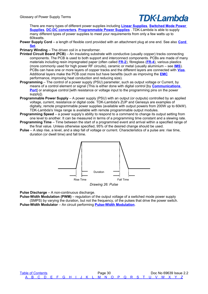There are many types of different power supplies including **[Linear Supplies](#page-22-4)**, **[Switched Mode Power](#page-38-2)  [Supplies](#page-38-2)**, **[DC-DC converters](#page-9-1)**, **[Programmable Power Supplies](#page-31-4)** . TDK-Lambda is able to supply many different types of power supplies to meet your requirements from only a few watts up to 60kwatts.

**Power Supply Cord** – a length of flexible cord provided with an attachment plug at one end. See also **[Cord](#page-7-6)  [Set](#page-7-6)**.

<span id="page-31-6"></span>**Primary Winding** – The driven coil in a transformer.

- <span id="page-31-1"></span>**Printed Circuit Board (PCB)** – An insulating substrate with conductive (usually copper) tracks connecting components. The PCB is used to both support and interconnect components. PCBs are made of many materials including resin impregnated paper (often called **[FR-2](#page-13-6)**), fibreglass (**[FR-4](#page-13-11)**), various plastics (more commonly used for high power RF circuits), ceramic or metal (usually aluminium – see **[IMS](#page-19-4)**). PCBs can have one or more layers of copper tracks and the different layers are connected with **[Vias](#page-30-11)**. Additional layers make the PCB cost more but have benefits (such as improving the **[EMC](#page-11-2)** performance, improving heat conduction and reducing size).
- <span id="page-31-5"></span>**Programming** – The control of a power supply (PSU) parameter, such as output voltage or Current, by means of a control element or signal (This is either done with digital control [by **[Communications](#page-6-1)  [Port](#page-6-1)** or analogue control [with resistance or voltage input to the programming pins on the power supply<sup>1</sup>).
- <span id="page-31-4"></span>**Programmable Power Supply** – A power supply (PSU) with an output (or outputs) controlled by an applied voltage, current, resistance or digital code. TDK-Lambda's ZUP and Genesys are examples of digitally, remote programmable power supplies (available with output powers from 200W up to 60kW). TDK-Lambda's Vega range is available with remote programmable output modules.
- **Programming Speed** a power supply's ability to respond to a command to change its output setting from one level to another. It can be measured in terms of a programming time constant and a slewing rate.
- **Programming Time**  Time between the start of a programmed event and arrival within a specified range of the final value. Unless otherwise specified, 95% of the desired change should be used.
- <span id="page-31-0"></span>**Pulse** – A step rise, a level, and a step fall of voltage or current. Characteristics of a pulse are: rise time, duration (or dwell time) and fall time.



**Pulse Discharge** – A non-continuous discharge.

<span id="page-31-3"></span>**Pulse-Width Modulation (PWM)** – regulation of the output voltage of a switched mode power supply (SMPS) by varying the duration, but not the frequency, of the pulses that drive the power switch.

<span id="page-31-2"></span>**Pulse-Width Modulator** – An circuit performing **[Pulse-Width Modulation](#page-31-3)**.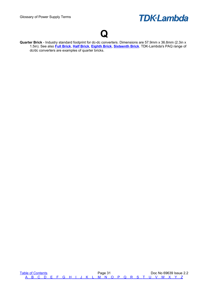### <span id="page-32-0"></span>**Q**

<span id="page-32-1"></span>**Quarter Brick** - Industry standard footprint for dc-dc converters. Dimensions are 57.9mm x 36.8mm (2.3in x 1.5in). See also **[Full Brick](#page-14-0)**, **[Half Brick](#page-16-2)**, **[Eighth Brick](#page-11-7)**, **[Sixteenth Brick](#page-37-2)**. TDK-Lambda's PAQ range of dc/dc converters are examples of quarter bricks.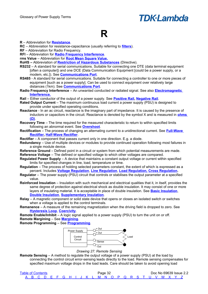### <span id="page-33-0"></span>**R**

#### **R** – Abbreviation for **[Resistance](#page-34-2)**.

**RC** – Abbreviation for resistance-capacitance (usually referring to **[filters](#page-13-10)**).

**RF** – Abbreviation for Radio Frequency.

**RFI** – Abbreviation for **[Radio Frequency Interference](#page-33-8)**.

**rms Value** – Abbreviation for **[Root Mean Square Value.](#page-34-3)**

- **RoHS –** Abbreviation of **[Restriction of Hazardous Substances](#page-34-1)** (Directive).
- <span id="page-33-3"></span>**RS232** – A standard for serial communications. Suitable for connecting one DTE (data terminal equipment [often a computer]) and one DCE (Data Communication Equipment [could be a power supply, or a modem, etc.]). See **[Communications Port](#page-6-1)**.
- <span id="page-33-2"></span>**RS485** - A standard for serial communications. Suitable for connecting a controller to one or more pieces of equipment [such as a power supply]. Can be used to connect equipment over relatively large distances (1km). See **[Communications Port](#page-6-1)**.
- <span id="page-33-8"></span>**Radio Frequency Interference** – An unwanted conducted or radiated signal. See also **[Electromagnetic](#page-11-4)  [Interference.](#page-11-4)**
- **Rail**  Either conductor of the output of a power supply. See **[Positive Rail,](#page-30-12) [Negative Rail](#page-26-3)**.
- **Rated Output Current**  The maximum continuous load current a power supply (PSU) is designed to provide under specified operating conditions.
- <span id="page-33-7"></span>**Reactance** - In an ac circuit, reactance is the imaginary part of impedance. It is caused by the presence of inductors or capacitors in the circuit. Reactance is denoted by the symbol X and is measured in **[ohms](#page-27-1)   [\( Ω \)](#page-27-1)**.
- **Recovery Time**  The time required for the measured characteristic to return to within specified limits following an abnormal event. See **[Overshoot](#page-28-0)**.
- **Rectification**  The process of changing an alternating current to a unidirectional current. See **[Full-Wave](#page-14-6)  [Rectifier,](#page-14-6) [Half-Wave Rectifier](#page-16-1)**.
- **Rectifier**  A component that passes current only in one direction. E.g. a diode.
- **Redundancy**  Use of multiple devices or modules to provide continued operation following most failures in a single module device.
- **Reference Ground**  Defined point in a circuit or system from which potential measurements are made.

**Reference Voltage** – The defined or specified voltage to which other voltages are compared.

- **Regulated Power Supply**  A device that maintains a constant output voltage or current within specified limits for specified changes in line, load, temperature or time.
- <span id="page-33-5"></span>**Regulation** – The process of holding selected parameters constant, the extent of which is expressed as a percent. Includes **[Voltage Regulation](#page-42-5)**, **[Line Regulation](#page-22-5)**, **[Load Regulation,](#page-22-2) [Cross Regulation.](#page-7-7)**
- **Regulator** The power supply (PSU) circuit that controls or stabilises the output parameter at a specified value.
- <span id="page-33-1"></span>**Reinforced Insulation** – Insulation with such mechanical and electrical qualities that it, in itself, provides the same degree of protection against electrical shock as double insulation. It may consist of one or more layers of insulating material. It is acceptable in place of double insulation. See **[Basic Insulation](#page-3-7)**, **[Double Insulation](#page-10-0)**, **[Supplementary Insulation](#page-37-1)**.
- **Relay**  A magnetic component or solid state device that opens or closes an isolated switch or switches when a voltage is applied to the control terminals.
- <span id="page-33-4"></span>**Remanence** – A measure of the remaining magnetization when the driving field is dropped to zero. See **[Hysteresis Loop](#page-17-0)**, **[Coercivity](#page-6-2)**.

**Remote Enable/Inhibit** – A logic signal applied to a power supply (PSU) to turn the unit on or off. **Remote Margining** – See **[Margining](#page-24-7)**.

**Remote Programming** – See **[Programming](#page-31-5)**.



*Drawing 27: Remote Sensing*

<span id="page-33-6"></span>**Remote Sensing** – A method to regulate the output voltage of a power supply (PSU) at the load by connecting the control circuit error-sensing leads directly to the load. Remote sensing compensates for specified maximum voltage drops in the load leads. Care should be taken to avoid opening load

| <b>Table of Contents</b> |  |  |  |  |  |  | Page 32 |  |  |  |  |                                                     |  | Doc No 69639 Issue 2.2 |
|--------------------------|--|--|--|--|--|--|---------|--|--|--|--|-----------------------------------------------------|--|------------------------|
|                          |  |  |  |  |  |  |         |  |  |  |  | A B C D F F G H I J K L M N O P O R S T U V W X Y Z |  |                        |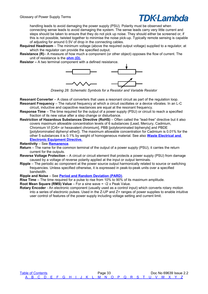### TDK·I ambda

handling leads to avoid damaging the power supply (PSU). Polarity must be observed when connecting sense leads to avoid damaging the system. The sense leads carry very little current and steps should be taken to ensure that they do not pick up noise. They should either be screened or, if this is not possible, twisted together to minimise the noise pick-up. Typically remote sensing is capable of adjusting for around 0.5V of drop in the connecting cables.

- **Required Headroom** The minimum voltage (above the required output voltage) supplied to a regulator, at which the regulator can provide the specified output.
- <span id="page-34-2"></span>**Resistance (R)**– A measure of how much a component (or other object) opposes the flow of current. The unit of resistance is the **[ohm \(Ω\).](#page-27-1)**

**Resistor –** A two terminal component with a defined resistance.



*Drawing 28: Schematic Symbols for a Resistor and Variable Resistor*

- **Resonant Converter**  A class of converters that uses a resonant circuit as part of the regulation loop. **Resonant Frequency** – The natural frequency at which a circuit oscillates or a device vibrates. In an L-C
- circuit, inductive and capacitive reactances are equal at the resonant frequency.
- **Response Time**  The time required for the output of a power supply (PSU) or circuit to reach a specified fraction of its new value after a step change or disturbance.
- <span id="page-34-1"></span>**Restriction of Hazardous Substances Directive (RoHS)** – Often called the "lead-free" directive but it also covers maximum allowable concentration levels of 6 substances (Lead, Mercury, Cadmium, Chromium VI [Cr6+ or hexavalent chromium], PBB [polybrominated biphenyls] and PBDE [polybrominated diphenyl ether]). The maximum allowable concentration for Cadmium is 0.01% for the other 5 substances it is 0.1% by weight of homogeneous material. See also **[Waste Electrical and](#page-43-3)  [Electronic Equipment Directive.](#page-43-3)**

#### **Retentivity** – See **[Remanence](#page-33-4)**.

- **Return**  The name for the common terminal of the output of a power supply (PSU), it carries the return current for the outputs.
- **Reverse Voltage Protection**  A circuit or circuit element that protects a power supply (PSU) from damage caused by a voltage of reverse polarity applied at the input or output terminals.
- **Ripple**  The periodic ac component at the power source output harmonically related to source or switching frequencies. Unless specified otherwise, it is expressed in peak-to-peak units over a specified bandwidth.
- **Ripple and Noise**  See **[Period and Random Deviation \(PARD\)](#page-29-3)**.
- **Rise Time**  The time required for a pulse to rise from 10% to 90% of its maximum amplitude.
- <span id="page-34-3"></span>**Root Mean Square (RMS) Value** – For a sine wave =  $\sqrt{2}$  x Peak Value.
- <span id="page-34-0"></span>**Rotary Encoder** - An electronic component (usually used as a control input) which converts rotary motion into a series of electronic pulses. Used in the Z-UP and Z+ ranges of power supplies to enable intuitive user control of features of the power supply including voltage setting and current limit.

[Table of Contents](#page-1-0) **Page 33** Doc No 69639 Issue 2.2  [A](#page-2-0) [B](#page-3-0) [C](#page-5-0) [D](#page-9-0) [E](#page-11-0) [F](#page-13-0) [G](#page-15-0) [H](#page-16-0) [I](#page-18-0) [J](#page-20-0) [K](#page-21-0) [L](#page-22-0) [M](#page-24-0) [N](#page-26-0) [O](#page-27-0) [P](#page-29-0) [Q](#page-32-0) [R](#page-33-0) [S](#page-35-0) [T](#page-39-0) [U](#page-41-0) [V](#page-42-0) [W](#page-43-0) [X](#page-44-0) [Y](#page-45-0) [Z](#page-46-0)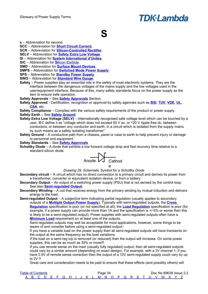## <span id="page-35-3"></span><span id="page-35-0"></span>**S**

**s** – Abbreviation for second.

**SCC** – Abbreviation for **[Short Circuit Current.](#page-36-3)**

**SCR** – Abbreviation for **[Silicon-Controlled Rectifier](#page-37-7)**.

**SELV** – Abbreviation for **[Safety Extra Low Voltage](#page-35-4)**.

**SI** – Abbreviation for **[System International d'Unites](#page-38-0)**.

**[Si](#page-36-2)[C](#page-36-2)** – Abbreviation for **Silicon Carbide.** 

**SMD** – Abbreviation for **[Surface Mount Devices](#page-38-1)**.

**SMPS** – Abbreviation for **[Switched Mode Power Supply](#page-38-2)**.

**SPS** – Abbreviation for **[Standby Power Supply](#page-35-3)**.

**SWG** – Abbreviation for **[Standard Wire Gauge](#page-37-3)**.

**Safety** – Power supplies play an essential role in the safety of most electronic systems. They are the interface between the dangerous voltages of the mains supply and the low voltages used in the user/equipment interface. Because of this, many safety standards focus on the power supply as the item to ensure safe operation.

**Safety Approvals** – See **[Safety Approvals](#page-58-0)** Section.

**Safety Approved** - Certification, recognition or approval by safety agencies such as **[BSI](#page-4-1)**, **[TUV](#page-39-3)**, **[VDE](#page-42-6)**, **[UL](#page-41-2)**, **[CSA](#page-5-1)**, etc.

**Safety Compliance** – Complies with the various safety requirements of the product or power supply.

**Safety Earth** – See **[Safety Ground](#page-35-2)**.

- <span id="page-35-4"></span>**Safety Extra Low Voltage (SELV)** – Internationally recognised safe voltage level which can be touched by a user. IEC define it as "voltage which does not exceed 50 V ac. or 120 V ripple-free dc. between conductors, or between any conductor and earth, in a circuit which is isolated from the supply mains by such means as a safety isolating transformer".
- <span id="page-35-2"></span>**Safety Ground** – A conductive path from a chassis, panel or case to earth to help prevent injury or damage to personnel and equipment.

**Safety Standards** – See **[Safety Approvals](#page-58-0)**

**Schottky Diode** – A diode that exhibits a low forward voltage drop and fast recovery time relative to a standard silicon diode.



*Drawing 29: Schematic Symbol for a Schottky Diode*

**Secondary circuit** – A circuit which has no direct connection to a primary circuit and derives its power from a transformer, converter or equivalent isolation device, or from a battery.

**Secondary Output** – An output of a switching power supply (PSU) that is not sensed by the control loop. See also **[Semi-regulated Output](#page-35-1)**.

<span id="page-35-5"></span>**Secondary Winding** – A coil that receives energy from the primary winding by mutual induction and delivers energy to the load.

<span id="page-35-1"></span>**Semi-regulated Output** – A subjective term indicating partial regulation (usually applies to secondary outputs of a **[Multiple Output Power Supply](#page-25-2)**). Typically with semi-regulated outputs, the **[Cross](#page-7-7)  [Regulation](#page-7-7)** specification is poor (or not specified at all), the **[Load Regulation](#page-22-2)** specification is poor (for example, if a power supply can provide more than 1A and the specification is +/-5% or worse then this is likely to be a semi-regulated output). Power supplies with semi-regulated outputs often have a **[Minimum Load](#page-24-1)** requirement on at least one of the outputs.

Semi-regulated outputs may well be acceptable for most applications, however, some things to be aware of and consider before using a semi-regulated output:-

If you have a variable load on the power supply then all semi-regulated outputs will have transients on the output at the same frequency as the load variations.

If the load on a semi-reg o/p is removed (or reduced) then the output will increase. On some power supplies, this can be as much as 30% or more!!!

If you use remote sense on the main (usually fully regulated) output, then all semi-regulated outputs could vary by a similar amount (depending on exact design). For example, with a 3V channel 1, if you have 0.5V of remote sense correction then the output of a 12V semi-regulated supply could vary by up to 2V !!

Great care and consideration needs to be paid to ensure that these effects (and possibly others) will

| <b>Table of Contents</b> |  |  |  |  |  |  | Page 34 |  |  |  |  |                                                     |  | Doc No 69639 Issue 2.2 |
|--------------------------|--|--|--|--|--|--|---------|--|--|--|--|-----------------------------------------------------|--|------------------------|
|                          |  |  |  |  |  |  |         |  |  |  |  | A B C D E F G H I J K L M N O P Q R S T U V W X Y Z |  |                        |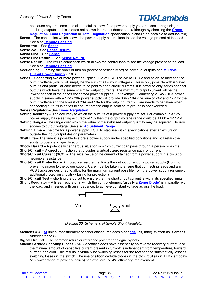not cause any problems. It is also useful to know if the power supply you are considering using has semi-reg outputs as this is often not shown in product datasheets (although by checking the **[Cross](#page-7-7)  [Regulation](#page-7-7)**, **[Load Regulation](#page-22-2)** or **[Total Regulation](#page-39-2)** specification, it should be possible to deduce this).

<span id="page-36-5"></span>**Sense** – The connection which allows the power supply control loop to see the voltage present at the load. See also **[Remote Sensing](#page-33-6)**.

**Sense +ve** – See **[Sense](#page-36-5)**.

**Sense -ve** – See **[Sense Return.](#page-36-4)**

**Sense Line** – See **[Sense](#page-36-5)**.

**Sense Line Return** – See **[Sense Return.](#page-36-4)**

- <span id="page-36-4"></span>**Sense Return** – The return connection which allows the control loop to see the voltage present at the load. See also **[Remote Sensing](#page-33-6)**.
- **Sequencing**  Forcing the order of turn on (and/or occasionally off) of individual outputs of a **[Multiple](#page-25-2)  [Output Power Supply](#page-25-2)** (PSU).
- **Series** Connecting two or more power supplies (+ve of PSU 1 to -ve of PSU 2 and so on) to increase the output voltage (which will simply be the sum of all output voltages). This is only possible with isolated outputs and particular care needs to be paid to short circuit currents. It is better to only series connect outputs which have the same or similar output currents. The maximum output current will be the lowest of each of the series connected power supplies. For example. Connecting a 24V / 10A power supply in series with a 12V / 20A power supply will provide 36V / 10A (the sum of 24V and 12V for the output voltage and the lowest of 20A and 10A for the output current). Care needs to be taken when connecting outputs in series to ensure that the output isolation to ground is not exceeded.

**Series Regulator** – See **[Linear Regulation](#page-22-3)**.

**Setting Accuracy –** The accuracy to which the outputs of a power supply are set. For example, if a 12V power supply has a setting accuracy of 1% then the output voltage range could be 11.88 – 12.12 V.

- <span id="page-36-0"></span>**Setting Range** – The range over which the value of the stabilised output quantity may be adjusted. Usually applies to output voltage. See also **[Adjustment Range](#page-2-9)**.
- **Settling Time** The time for a power supply (PSU) to stabilise within specifications after an excursion outside the input/output design parameters.
- <span id="page-36-6"></span>**Shelf Life** – The time it is possible to store a power supply under specified conditions and still retain the ability to operate to specification.

**Shock Hazard** – A potentially dangerous situation in which current can pass through a person or animal. **Short-Circuit** – A direct connection that provides a virtually zero resistance path for current.

- <span id="page-36-3"></span>**Short-Circuit Current (SCC)** – The initial value of the current obtained from a power supply in a circuit of negligible resistance.
- **Short-Circuit Protection** A protective feature that limits the output current of a power supply (PSU) to prevent damage to the power supply. Care must be taken to ensure that connecting leads and any PCB tracks are designed to allow for the maximum current possible from the power supply (or supply additional protection circuitry / fusing for protection).

**Short-Circuit Test** – shorting the output to ensure that the short circuit current is within its specified limits. **Shunt Regulator** – A linear regulator in which the control element (usually a **[Zener Diode](#page-46-1)**) is in parallel with

the load, and in series with an impedance, to achieve constant voltage across the load.



*Drawing 30: Schematic of Simple Shunt Regulator*

<span id="page-36-1"></span>**Siemens (S)** – **[SI](#page-38-0)** unit of measurement of conductance (replaces older **[cgs](#page-5-2)** unit, mho). Written as '**siemens**'. Abbreviated to **S**.

**Signal Ground** – The common return or reference point for analogue signals.

<span id="page-36-2"></span>**Silicon Carbide Schottky Diodes** - SiC Schottky diodes have essentially no reverse recovery current, and the minimal amount of capacitive current present in turn-off is independent from temperature, forward current, and di/dt. This results in virtually no switching losses for the rectifier and substantially lessens switching losses in the switch. The use of silicon carbide diodes in the pfc circuit (as in TDK-Lambda's NV-Power range of power supplies) can offer around 4% efficiency improvement.

| <b>Table of Contents</b> |  |  |  |  |  | Page 35 |  |  |  |  |                                                     |  | Doc No 69639 Issue 2.2 |
|--------------------------|--|--|--|--|--|---------|--|--|--|--|-----------------------------------------------------|--|------------------------|
|                          |  |  |  |  |  |         |  |  |  |  | A B C D E F G H I J K L M N O P Q R S T U V W X Y Z |  |                        |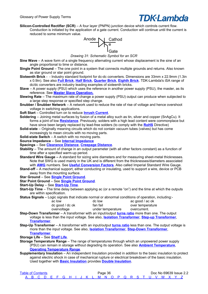<span id="page-37-7"></span>**Silicon-Controlled Rectifier (SCR)** – A four layer (PNPN) junction device which controls current flow. Conduction is initiated by the application of a gate current. Conduction will continue until the current is reduced to some minimum value.



*Drawing 31: Schematic Symbol for an SCR*

- **Sine Wave**  A wave form of a single frequency alternating current whose displacement is the sine of an angle proportional to time or distance.
- <span id="page-37-9"></span>**Single Point Ground** – The one point in a system that connects multiple grounds and returns. Also known as star ground or star point ground.
- <span id="page-37-2"></span>**Sixteenth Brick** - - Industry standard footprint for dc-dc converters. Dimensions are 33mm x 22.9mm (1.3in x 0.9in). See also **[Full Brick](#page-14-0)**, **[Half Brick](#page-16-2)**, **[Quarter Brick](#page-32-1)**, **[Eighth Brick](#page-11-7)**. TDK-Lambda's iSA range of dc/dc converters are industry leading examples of sixteenth bricks.
- **Slave**  A power supply (PSU) which uses the reference in another power supply (PSU), the master, as its reference. See **[Master Slave Operation.](#page-24-8)**
- **Slewing Rate**  The maximum rate of change a power supply (PSU) output can produce when subjected to a large step response or specified step change.
- **Snubber / Snubber Network**  A network used to reduce the rate of rise of voltage and hence overshoot voltage in switching applications.
- **Soft Start**  Controlled turn on to reduce **[Inrush Current](#page-18-7)**.
- **Soldering**  Joining metal surfaces by fusion of a metal alloy such as tin, silver and copper (SnAgCu). It forms a joint of low **[Resistance](#page-34-2)**. Previously, solders with a high lead content were commonplace but have since been largely replaced by lead-free solders (to comply with the **[RoHS](#page-34-1)** Directive)
- **Solid-state** Originally meaning circuits which do not contain vacuum tubes (valves) but has come increasingly to mean circuits with no moving parts.
- **Solid-state Switch**  A switch with no moving parts.
- **Source Impedance** See **[Internal Impedance](#page-19-10)**
- **Spacings**  See **[Clearance Distance](#page-6-4)**, **[Creepage Distance](#page-7-8)**.
- **Stability**  The amount of change in an output parameter (with all other factors constant) as a function of time after a specified warm-up period.
- <span id="page-37-3"></span>**Standard Wire Gauge –** A standard for sizing wire diameters and for measuring sheet-metal thicknesses. Note that SWG is used mainly in the UK and is different from the thicknesses/diameters associated with **[AWG](#page-2-1)** numbers. See **[Useful Conversion Factors](#page-50-0)**. Also called Imperial Standard Wire Gauge.
- **Stand-off**  A mechanical support, either conducting or insulating, used to support a wire, device or PCB away from the mounting surface.
- **Star Ground**  See **[Single Point Ground](#page-37-9)**.
- **Star Point Ground**  See **[Single Point Ground](#page-37-9)**.

#### **Start-Up Delay** – See **[Start-Up Time](#page-37-8)**.

<span id="page-37-8"></span>**Start-Up Time** – The time delay between applying ac (or a remote "on") and the time at which the outputs are within specification.

<span id="page-37-6"></span>**Status Signals** – Logic signals that indicate normal or abnormal conditions of operation, including:-

| ac low          | dc low            | ac good / ac ok  |
|-----------------|-------------------|------------------|
| dc good / dc ok | fan fail          | over temperature |
| overvoltage     | under temperature | overcurrent.     |

<span id="page-37-5"></span>**Step-Down Transformer** – A transformer with an input/output **[turns ratio](#page-40-4)** more than one. The output voltage is less than the input voltage. See also, **[Isolation Transformer](#page-19-12)**, **[Step-up Transformer](#page-37-4)**, **[Transformer](#page-40-1)**.

<span id="page-37-4"></span>**Step-Up Transformer** – A transformer with an input/output **[turns ratio](#page-40-4)** less than one. The output voltage is more than the input voltage. See also, **[Isolation Transformer](#page-19-12)**, **[Step-Down Transformer](#page-37-5)**, **[Transformer](#page-40-1)**.

**Storage Life** – See **[Shelf Life](#page-36-6)**.

- <span id="page-37-0"></span>**Storage Temperature Range** – The range of temperatures through which an unpowered power supply (PSU) can remain in storage without degrading its operation. See also **[Ambient Temperature](#page-2-7)**, **[Operating Temperature Range](#page-27-2)**.
- <span id="page-37-1"></span>**Supplementary Insulation** – An independent Insulation provided in addition to the basic insulation to protect against electric shock in case of mechanical rupture or electrical breakdown of the basic insulation. Used together with **[Basic Insulation](#page-3-7)** provides **[Double Insulation](#page-10-0)**.

| <b>Table of Contents</b> |  |  |  |  |  |  | Page 36 |  |  |  |  |                                                     |  | Doc No 69639 Issue 2.2 |
|--------------------------|--|--|--|--|--|--|---------|--|--|--|--|-----------------------------------------------------|--|------------------------|
|                          |  |  |  |  |  |  |         |  |  |  |  | A B C D E F G H I J K L M N O P Q R S T U V W X Y Z |  |                        |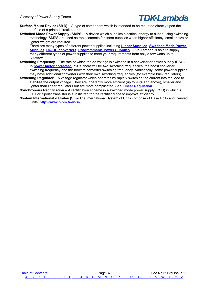

- <span id="page-38-1"></span>**Surface Mount Device (SMD)** – A type of component which is intended to be mounted directly upon the surface of a printed circuit board.
- <span id="page-38-2"></span>**Switched Mode Power Supply (SMPS)** - A device which supplies electrical energy to a load using switching technology. SMPS are used as replacements for linear supplies when higher efficiency, smaller size or lighter weight are required.

There are many types of different power supplies including **[Linear Supplies](#page-22-4)**, **[Switched Mode Power](#page-38-2)  [Supplies](#page-38-2)**, **[DC-DC converters](#page-9-1)**, **[Programmable Power Supplies](#page-31-4)** . TDK-Lambda is able to supply many different types of power supplies to meet your requirements from only a few watts up to 60kwatts.

- **Switching Frequency**  The rate at which the dc voltage is switched in a converter or power supply (PSU). In **[power factor corrected](#page-30-7)** PSUs, there will be two switching frequencies, the boost converter switching frequency and the forward converter switching frequency. Additionally, some power supplies may have additional converters with their own switching frequencies (for example buck regulators).
- **Switching Regulator** A voltage regulator which operates by rapidly switching the current into the load to stabilise the output voltage. They are inherently more efficient (up to 90% and above), smaller and lighter than linear regulators but are more complicated. See **[Linear Regulation](#page-22-3)**.
- **Synchronous Rectification**  A rectification scheme in a switched mode power supply (PSU) in which a FET or bipolar transistor is substituted for the rectifier diode to improve efficiency.
- <span id="page-38-0"></span>**System International d'Unites (SI)** – The International System of Units comprise of Base Units and Derived Units. **[http://www.bipm.fr/en/si/.](http://www.bipm.fr/en/si/)**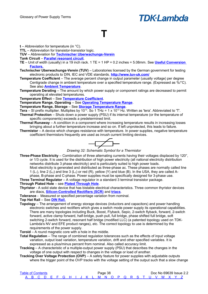#### <span id="page-39-0"></span>**T**

**t** – Abbreviation for temperature (in °C).

**TTL** – Abbreviation for transistor-transistor logic.

**TUV** – Abbreviation for **[Technischer Uberwachungs-Verein](#page-39-3)**

**Tank Circuit** – **[Parallel resonant circuit](#page-29-5)**.

- **TE** Unit of width (usually) in a 19 inch rack. 1 TE = 1 HP = 0.2 inches = 5.08mm. See **[Useful Conversion](#page-47-1)  [Factors.](#page-47-1)**
- <span id="page-39-3"></span>**Technischer Uberwachungs-Verein (TUV)** – Laboratories licensed by the German government for testing electronic products to DIN, IEC and VDE standards. **<http://www.tuv-uk.com/>**
- <span id="page-39-1"></span>**Temperature Coefficient** – The average percent change in output parameter (usually voltage) per degree Centigrade change in ambient temperature over a specified temperature range. (Expressed as %/°C). See also **[Ambient Temperature](#page-2-7)**.
- **Temperature Derating** The amount by which power supply or component ratings are decreased to permit operating at elevated temperatures.

**Temperature Effect** – See **[Temperature Coefficient](#page-39-1)**.

**Temperature Range, Operating** – See **[Operating Temperature Range](#page-27-2)**.

**Temperature Range, Storage** – See **[Storage Temperature Range](#page-37-0)**.

**Tera** – SI prefix multiplier. Multiplies by 10<sup>12</sup>. So 1 THz = 1 x 10<sup>12</sup> Hz. Written as 'tera'. Abbreviated to 'T'.

- **Thermal Protection**  Shuts down a power supply (PSU) if its internal temperature (or the temperature of specific components) exceeds a predetermined limit.
- **Thermal Runaway**  A condition in a component where increasing temperature results in increasing losses bringing about a further temperature increase and so on. If left unprotected, this leads to failure.
- **Thermistor**  A device which changes resistance with temperature. In power supplies, negative temperature coefficient thermistors frequently are used as inrush current limiting devices.



*Drawing 32: Schematic Symbol for a Thermistor*

**Three-Phase Electricity** – Combination of three alternating currents having their voltages displaced by 120°, or 1/3 cycle. It is used for the distribution of high power electricity (all national electricity distribution networks distribute 3 phase electricity) and is particularly suited to high power loads. Most electricity is generated and distributed as three-phase ac. These phases are normally called line 1 (L<sub>1</sub>), line 2 (L<sub>2</sub>) and line 3 (L<sub>3</sub>) or red (R), yellow (Y) and blue (B). In the USA, they are called A-

phase, B-phase and C-phase. Power supplies must be specifically designed for 3-phase use. **Three Terminal Regulator** – A voltage regulator in a standard 3 terminal transistor package.

#### **Through Plated Hole** – see **[Plated Through Hole](#page-30-11)**.

**Thyristor** - A solid state device that has bistable electrical characteristics. Three common thyristor devices are diacs, **[Silicon-Controlled Rectifiers \(SCR\)](#page-37-7)** and **[triacs](#page-40-5)**.

**Tolerance** - Measured or specified percentage variation from nominal.

**Top Hat Rail** – See **[DIN Rail.](#page-9-4)**

- **Topology** The arrangement of energy storage devices (inductors and capacitors) and power handling electronic switches and rectifiers which gives a switch mode power supply its operational capabilities. There are many topologies including Buck, Boost, Flyback, Sepic, 2-switch flyback, forward, 2-switch forward, active clamp forward, half-bridge, push pull, full bridge, phase shifted full bridge, soft switching 2-switch forward, resonant half bridge (modified LLC) (a patented topology used on TDK-Lambda's NV and EFE product ranges), etc. The correct topology to use is determined by the requirements of the power supply.
- **Toroid**  A round magnetic core with a hole in the middle.
- <span id="page-39-2"></span>**Total Regulation** – The range of combined regulation tolerances such as the effects of input voltage variation, output load variation, temperature variation, drift and other specified variables. It is expressed as a plus/minus percent from nominal. Also called accuracy limit.
- **Tracking**  A characteristic of a multiple-output power supply (PSU) that describes the changes in the voltage of one output with respect to changes in the voltage or load of another.
- **Tracking Over Voltage Protection (OVP)**  A safety feature for power supplies with adjustable outputs where the trigger point of the OVP tracks with the voltage setting of the output such that a slow change

| <b>Table of Contents</b>                            |  |  |  |  |  |  | Page 38 |  |  |  |  |  | Doc No 69639 Issue 2.2 |
|-----------------------------------------------------|--|--|--|--|--|--|---------|--|--|--|--|--|------------------------|
| A B C D E F G H I J K L M N O P Q R S T U V W X Y Z |  |  |  |  |  |  |         |  |  |  |  |  |                        |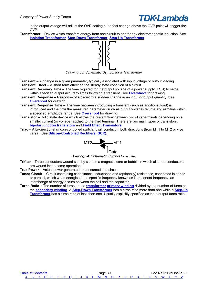

in the output voltage will adjust the OVP setting but a fast change above the OVP point will trigger the OVP.

<span id="page-40-1"></span>**Transformer** – Device which transfers energy from one circuit to another by electromagnetic induction. See **[Isolation Transformer](#page-19-12)**, **[Step-Down Transformer](#page-37-5)**, **[Step-Up Transformer](#page-37-4)**.



*Drawing 33: Schematic Symbol for a Transformer*

**Transient** – A change in a given parameter, typically associated with input voltage or output loading. **Transient Effect** – A short term effect on the steady state condition of a circuit.

<span id="page-40-2"></span>**Transient Recovery Time** – The time required for the output voltage of a power supply (PSU) to settle within specified output accuracy limits following a transient. See **[Overshoot](#page-28-0)** for drawing.

- **Transient Response** Response of a circuit to a sudden change in an input or output quantity. See **[Overshoot](#page-28-0)** for drawing.
- **Transient Response Time**  The time between introducing a transient (such as additional load) is introduced and the time the measured parameter (such as output voltage) returns and remains within a specified amplitude range. See **[Overshoot](#page-28-0)** for drawing.
- <span id="page-40-0"></span>**Transistor** – Solid state device which allows the current flow between two of its terminals depending on a smaller current (or voltage) applied to the third terminal. There are two main types of transistors, **[bipolar junction transistors](#page-3-5)** and **[Field Effect Transistors](#page-13-8)**.
- <span id="page-40-5"></span>**Triac** – A bi-directional silicon-controlled switch. It will conduct in both directions (from MT1 to MT2 or vice versa). See **[Silicon-Controlled Rectifiers \(SCR\).](#page-37-7)**



*Drawing 34: Schematic Symbol for a Triac*

**Trifilar** – Three conductors wound side by side on a magnetic core or bobbin in which all three conductors are wound in the same operation.

<span id="page-40-3"></span>**True Power** – Actual power generated or consumed in a circuit.

- **Tuned Circuit**  Circuit containing capacitance, inductance and (optionally) resistance, connected in series or parallel, which when energised at a specific frequency known as its resonant frequency, an interchange of energy occurs between the coil and the capacitor.
- <span id="page-40-4"></span>**Turns Ratio** – The number of turns on the **[transformer](#page-40-1) [primary winding](#page-31-6)** divided by the number of turns on the **[secondary winding](#page-35-5)**. A **[Step-Down Transformer](#page-37-5)** has a turns ratio more than one while a **[Step-up](#page-37-4) [Transformer](#page-37-4)** has a turns ratio of less than one. Usually explicitly specified as input/output turns ratio.

[Table of Contents](#page-1-0) **Page 39** Page 39 **Page 39** Doc No 69639 Issue 2.2  [A](#page-2-0) [B](#page-3-0) [C](#page-5-0) [D](#page-9-0) [E](#page-11-0) [F](#page-13-0) [G](#page-15-0) [H](#page-16-0) [I](#page-18-0) [J](#page-20-0) [K](#page-21-0) [L](#page-22-0) [M](#page-24-0) [N](#page-26-0) [O](#page-27-0) [P](#page-29-0) [Q](#page-32-0) [R](#page-33-0) [S](#page-35-0) [T](#page-39-0) [U](#page-41-0) [V](#page-42-0) [W](#page-43-0) [X](#page-44-0) [Y](#page-45-0) [Z](#page-46-0)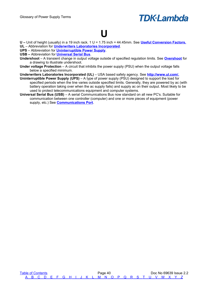

#### <span id="page-41-0"></span>**U**

**U –** Unit of height (usually) in a 19 inch rack. 1 U = 1.75 inch = 44.45mm. See **[Useful Conversion Factors.](#page-47-1) UL** – Abbreviation for **[Underwriters Laboratories Incorporated](#page-41-2)**.

**UPS** – Abbreviation for **[Uninterruptible Power Supply](#page-41-3)**.

- **USB –** Abbreviation for **[Universal Serial Bus](#page-41-1)**.
- **Undershoot**  A transient change in output voltage outside of specified regulation limits. See **[Overshoot](#page-28-0)** for a drawing to illustrate undershoot.
- **Under voltage Protection** A circuit that inhibits the power supply (PSU) when the output voltage falls below a specified minimum.
- <span id="page-41-2"></span>**Underwriters Laboratories Incorporated (UL)** – USA based safety agency. See **[http://www.ul.com/.](http://www.ul.com/)**
- <span id="page-41-3"></span>**Uninterruptible Power Supply (UPS)** – A type of power supply (PSU) designed to support the load for specified periods when the line varies outside specified limits. Generally, they are powered by ac (with battery operation taking over when the ac supply fails) and supply ac on their output. Most likely to be used to protect telecommunications equipment and computer systems.
- <span id="page-41-1"></span>**Universal Serial Bus (USB)** – A serial Communications Bus now standard on all new PC's. Suitable for communication between one controller (computer) and one or more pieces of equipment (power supply, etc.) See **[Communications Port](#page-6-1)**.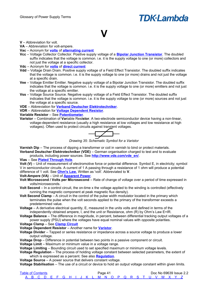## <span id="page-42-0"></span>**V**

#### **V** – Abbreviation for volt.

**VA** – Abbreviation for volt-ampere.

#### **Vac** – Acronym for **[volts](#page-42-1)** of **[alternating current](#page-2-4)**

- **Vcc** Voltage Collector Collector. Positive supply voltage of a **[Bipolar Junction Transistor](#page-3-5)**. The doubled suffix indicates that the voltage is common. i.e. it is the supply voltage to one (or more) collectors and not just the voltage at a specific collector.
- **Vdc** Acronym for **[volts](#page-42-1)** of **[direct current](#page-10-4)**
- **Vdd** Voltage Drain Drain. Positive supply voltage of a Field Effect Transistor. The doubled suffix indicates that the voltage is common. i.e. it is the supply voltage to one (or more) drains and not just the voltage at a specific drain.
- **Vee** Voltage Emitter Emitter. Negative supply voltage of a Bipolar Junction Transistor. The doubled suffix indicates that the voltage is common. i.e. it is the supply voltage to one (or more) emitters and not just the voltage at a specific emitter.
- **Vss** Voltage Source Source. Negative supply voltage of a Field Effect Transistor. The doubled suffix indicates that the voltage is common. i.e. it is the supply voltage to one (or more) sources and not just the voltage at a specific source.
- **VDE** Abbreviation for **[Verband Deutscher Elektrotechniker](#page-42-6)**.
- **VDR** Abbreviation for **[Voltage Dependent Resistor](#page-42-7)**.

#### **Variable Resistor** – See **[Potentiometer](#page-30-10)**.

<span id="page-42-3"></span>**Varistor** – Combination of **Var**iable Res**istor**. A two-electrode semiconductor device having a non-linear, voltage-dependent resistance (usually a high resistance at low voltages and low resistance at high voltages). Often used to protect circuits against transient voltages.

$$
\overline{\hbox{---}}
$$

*Drawing 35: Schematic Symbol for a Varistor*

<span id="page-42-6"></span>**Varnish Dip** – The process of dipping a transformer or coil in varnish to bind or protect materials. **Verband Deutscher Elektrotechniker (VDE)** – German organisation charged to test and to evaluate

products, including power sources. See **[http://www.vde.com/vde\\_en/](http://www.vde.com/vde_en/)**.

<span id="page-42-4"></span>**Vias** – See **[Plated Through Hole](#page-30-11)**.

<span id="page-42-1"></span>**Volt (V)** – Unit of measurement of electromotive force or potential difference. Symbol E, in electricity; symbol V in semiconductor circuits. A current of 1 A passing through a resistance of 1 ohm will produce a potential difference of 1 volt. See **[Ohm's Law.](#page-52-3)** Written as 'volt'. Abbreviated to **V**.

#### **Volt-Ampere (VA)** – Unit of **[Apparent Power](#page-2-8)**.

- **Volt Microsecond / Volts per Microsecond**  Rate of change of voltage over a period of time expressed in volts/microseconds.
- **Volt Second** In a control circuit, the on-time x the voltage applied to the winding is controlled (effectively running the magnetic component at peak magnetic flux density).
- **Volt Second Clamp**  A circuit in the control of the pulse width modulator located in the primary which terminates the pulse when the volt seconds applied to the primary of the transformer exceeds a predetermined value.
- **Voltage**  A derivative electrical quantity, E, measured in the units volts and defined in terms of the independently obtained ampere, I, and the unit or Resistance, ohm (R) by Ohm's Law E=IR.
- **Voltage Balance**  The difference in magnitude, in percent, between differential tracking output voltages of a power supply (PSU) where the voltages have equal nominal values with opposite polarities.

**Voltage Clamp** – See **[Clamp Circuit](#page-6-5)**

<span id="page-42-7"></span>**Voltage Dependent Resistor** – Another name for **[Varistor](#page-42-3)**.

**Voltage Divider** – Tapped or series resistance or impedance across a source voltage to produce a lower output voltage.

<span id="page-42-2"></span>**Voltage Drop** – Difference in potential between two points in a passive component or circuit.

**Voltage Limit** – Maximum or minimum value in a voltage range.

**Voltage Limiting** – Bounding circuit used to set specified maximum or minimum voltage levels.

<span id="page-42-5"></span>**Voltage Regulation** – The process of holding voltage constant between selected parameters, the extent of which is expressed as a percent. See also **[Regulation](#page-33-5)**.

**Voltage Source** – A power source that delivers constant voltage.

**Voltage Stabilisation** – The use of a circuit or device to hold an output voltage constant within given limits.

| <b>Table of Contents</b> |  |  |  |  |  |  | Page 4 <sup>1</sup> |  |  |  |  |                                                     |  | Doc No 69639 Issue 2.2 |  |
|--------------------------|--|--|--|--|--|--|---------------------|--|--|--|--|-----------------------------------------------------|--|------------------------|--|
|                          |  |  |  |  |  |  |                     |  |  |  |  | A B C D E F G H I J K L M N O P Q R S T U V W X Y Z |  |                        |  |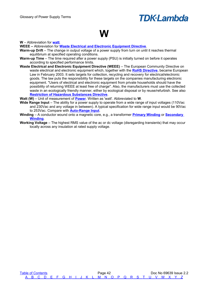### <span id="page-43-0"></span>**W**

**W** – Abbreviation for **[watt](#page-43-2)**.

**WEEE –** Abbreviation for **[Waste Electrical and Electronic Equipment Directive](#page-43-3)**.

- **Warm-up Drift** The change in output voltage of a power supply from turn on until it reaches thermal equilibrium at specified operating conditions.
- **Warm-up Time** The time required after a power supply (PSU) is initially turned on before it operates according to specified performance limits.
- <span id="page-43-3"></span>**Waste Electrical and Electronic Equipment Directive (WEEE)** – The European Community Directive on waste electrical and electronic equipment which, together with the **[RoHS Directive](#page-34-1)**, became European Law in February 2003. It sets targets for collection, recycling and recovery for electrical/electronic goods. The law puts the responsibility for these targets on the companies manufacturing electronic equipment. "Users of electrical and electronic equipment from private households should have the possibility of returning WEEE at least free of charge". Also, the manufacturers must use the collected waste in an ecologically friendly manner, either by ecological disposal or by reuse/refurbish. See also **[Restriction of Hazardous Substances Directive](#page-34-1)**.

<span id="page-43-2"></span>**Watt (W)** – Unit of measurement of **[Power](#page-30-8)**. Written as 'watt'. Abbreviated to **W**.

- <span id="page-43-1"></span>**Wide Range Input** – The ability for a power supply to operate from a wide range of input voltages (110Vac and 230Vac and any voltage in between). A typical specification for wide range input would be 90Vac to 253Vac. Compare with **[Auto-Range Input](#page-2-10)**.
- **Winding** A conductor wound onto a magnetic core, e.g., a transformer **[Primary Winding](#page-31-6)** or **[Secondary](#page-35-5)  [Winding](#page-35-5)**.
- **Working Voltage** The highest RMS value of the ac or dc voltage (disregarding transients) that may occur locally across any insulation at rated supply voltage.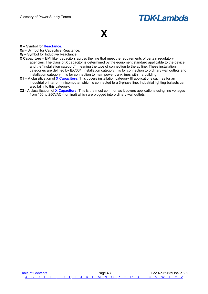## <span id="page-44-0"></span>**X**

- **X** Symbol for **[Reactance.](#page-33-7)**
- $X_c$  Symbol for Capacitive Reactance.
- **XL** Symbol for Inductive Reactance.
- <span id="page-44-1"></span>**X Capacitors** – EMI filter capacitors across the line that meet the requirements of certain regulatory agencies. The class of X capacitor is determined by the equipment standard applicable to the device and the "installation category", meaning the type of connection to the ac line. These installation categories are defined by IEC664. Installation category II is for connection to ordinary wall outlets and installation category III is for connection to main power trunk lines within a building.
- **X1** A classification of **[X Capacitors](#page-44-1)**. This covers installation category III applications such as for an industrial printer or minicomputer which is connected to a 3-phase line. Industrial lighting ballasts can also fall into this category.
- **X2** A classification of **[X Capacitors](#page-44-1)**. This is the most common as it covers applications using line voltages from 150 to 250VAC (nominal) which are plugged into ordinary wall outlets.

[Table of Contents](#page-1-0) **Table of Contents Page 43** Doc No 69639 Issue 2.2  [A](#page-2-0) [B](#page-3-0) [C](#page-5-0) [D](#page-9-0) [E](#page-11-0) [F](#page-13-0) [G](#page-15-0) [H](#page-16-0) [I](#page-18-0) [J](#page-20-0) [K](#page-21-0) [L](#page-22-0) [M](#page-24-0) [N](#page-26-0) [O](#page-27-0) [P](#page-29-0) [Q](#page-32-0) [R](#page-33-0) [S](#page-35-0) [T](#page-39-0) [U](#page-41-0) [V](#page-42-0) [W](#page-43-0) [X](#page-44-0) [Y](#page-45-0) [Z](#page-46-0)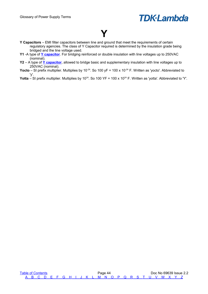<span id="page-45-0"></span>

- <span id="page-45-1"></span>**Y Capacitors** – EMI filter capacitors between line and ground that meet the requirements of certain regulatory agencies. The class of Y Capacitor required is determined by the insulation grade being bridged and the line voltage used.
- **Y1** -A type of **[Y capacitor](#page-45-1)**. For bridging reinforced or double insulation with line voltages up to 250VAC (nominal).
- **Y2** A type of **[Y capacitor](#page-45-1)**, allowed to bridge basic and supplementary insulation with line voltages up to 250VAC (nominal).
- **Yocto** SI prefix multiplier. Multiplies by 10<sup>-24</sup>. So 100 yF = 100 x 10<sup>-24</sup> F. Written as 'yocto'. Abbreviated to 'y'.

**Yotta** – SI prefix multiplier. Multiplies by 10<sup>24</sup>. So 100 YF = 100 x 10<sup>24</sup> F. Written as 'yotta'. Abbreviated to 'Y'.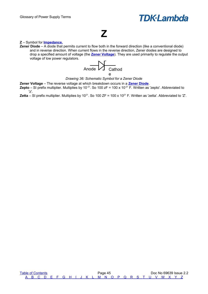### <span id="page-46-0"></span>**Z**

#### **Z** – Symbol for **[Impedance.](#page-18-9)**

<span id="page-46-1"></span>**Zener Diode** – A diode that permits current to flow both in the forward direction (like a conventional diode) and in reverse direction. When current flows in the reverse direction, Zener diodes are designed to drop a specified amount of voltage (the **[Zener Voltage](#page-46-2)**). They are used primarily to regulate the output voltage of low power regulators.



*Drawing 36: Schematic Symbol for a Zener Diode*

<span id="page-46-2"></span>**Zener Voltage** – The reverse voltage at which breakdown occurs in a **[Zener Diode](#page-46-1)**.

**Zepto** – SI prefix multiplier. Multiplies by  $10^{-21}$ . So  $100 zF = 100 x 10^{-21} F$ . Written as 'zepto'. Abbreviated to 'z'.

**Zetta** – SI prefix multiplier. Multiplies by 10<sup>21</sup>. So 100 ZF = 100 x 10<sup>21</sup> F. Written as 'zetta'. Abbreviated to 'Z'.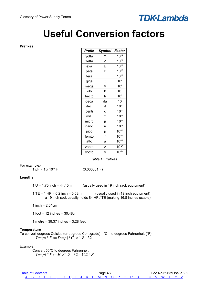## <span id="page-47-3"></span>**Useful Conversion factors**

#### <span id="page-47-2"></span>**Prefixes**

| Prefix | Symbol | Factor          |
|--------|--------|-----------------|
| yotta  | Y      | $10^{24}$       |
| zetta  | Z      | $10^{21}$       |
| exa    | E      | $10^{18}$       |
| peta   | P      | $10^{15}$       |
| tera   | T      | $10^{12}$       |
| giga   | Ġ      | 10 <sup>9</sup> |
| mega   | Μ      | 10 <sup>6</sup> |
| kilo   | k      | 10 <sup>3</sup> |
| hecto  | h      | 10 <sup>2</sup> |
| deca   | da     | 10              |
| deci   | d      | $10^{-1}$       |
| centi  | C      | $10^{-2}$       |
| milli  | m      | $10^{-3}$       |
| micro  | μ      | $10^{-6}$       |
| nano   | n      | $10^{-9}$       |
| pico   | р      | $10^{-12}$      |
| femto  | f      | $10^{-15}$      |
| atto   | a      | $10^{-18}$      |
| zepto  | Z      | $10^{-21}$      |
| yocto  | у      | $10^{-24}$      |

*Table 1: Prefixes*

For example:-

 $1 \mu F = 1 \times 10^{-6} F$  (0.000001 F)

#### <span id="page-47-1"></span>**Lengths**

 $1 U = 1.75$  inch = 44.45mm (usually used in 19 inch rack equipment)

1 TE = 1 HP = 0.2 inch = 5.08mm (usually used in 19 inch equipment) a 19 inch rack usually holds 84 HP / TE (making 16.8 inches usable)

1 inch =  $2.54$ cm

1 foot = 12 inches = 30.48cm

1 metre = 39.37 inches = 3.28 feet

#### <span id="page-47-0"></span>**Temperature**

To convert degrees Celsius (or degrees Centigrade) - °C - to degrees Fahrenheit (°F):-  $Temp({}^{\circ}F)=Temp({}^{\circ}C)\times1.8+32$ 

Example:

Convert 50°C to degrees Fahrenheit  $Temp(^{\circ}F)=50\times1.8+32=122^{\circ}F$ 

| <b>Table of Contents</b> |  |  |  |  |  |  | Page 46 |  |  |  |  |                                                     |  | Doc No 69639 Issue 2.2 |
|--------------------------|--|--|--|--|--|--|---------|--|--|--|--|-----------------------------------------------------|--|------------------------|
|                          |  |  |  |  |  |  |         |  |  |  |  | A B C D E F G H I J K L M N O P Q R S T U V W X Y Z |  |                        |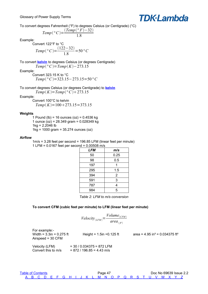

To convert degrees Fahrenheit (°F) to degrees Celsius (or Centigrade) (°C)

$$
Temp (^{\circ}C) = \frac{(Temp (^{\circ}F) - 32)}{1.8}
$$

Example:

Convert 122°F to °C  
\n
$$
Temp(^{\circ}C) = \frac{(122 - 32)}{1.8} = 50 °C
$$

<span id="page-48-2"></span>To convert **[kelvin](#page-21-3)** to degrees Celsius (or degrees Centigrade) *Temp*<sup> $\circ$ </sup>*C*)=*Temp*(*K*)−273.15

Example:

Convert 323.15 K to °C *Temp°C*=323.15−273.15=50*°C*

To convert degrees Celsius (or degrees Centigrade) to **[kelvin](#page-21-3)**  $Temp(K) = Temp({}^{\circ}C) + 273.15$ 

Example:

Convert 100°C to kelvin  $Temp(K)=100+273.15=373.15$ 

#### <span id="page-48-1"></span>**Weights**

1 Pound (lb) = 16 ounces (oz) =  $0.4536$  kg 1 ounce (oz) = 28.349 gram = 0.028349 kg  $1kg = 2.2046 lb$ 1kg = 1000 gram = 35.274 ounces (oz)

#### <span id="page-48-0"></span>**Airflow**

1m/s = 3.28 feet per second = 196.85 LFM (linear feet per minute) 1 LFM = 0.0167 feet per second = 0.00508 m/s

| <b>LFM</b> | m/s            |
|------------|----------------|
| 50         | 0.25           |
| 98         | 0.5            |
| 197        |                |
| 295        | 1.5            |
| 394        | $\overline{2}$ |
| 591        | 3              |
| 787        | 4              |
| 984        | 5              |

| Table 2: LFM to m/s conversion |  |  |  |  |  |  |
|--------------------------------|--|--|--|--|--|--|
|--------------------------------|--|--|--|--|--|--|

#### **To convert CFM (cubic feet per minute) to LFM (linear feet per minute)**

$$
Velocity_{(LFM)} = \frac{Volume_{(CFM)}}{area_{(f^i)}}
$$

For example:- Width =  $3.3$ in =  $0.275$  ft Height =  $1.5$ in =  $0.125$  ft area =  $4.95$  in<sup>2</sup> =  $0.034375$  ft<sup>2</sup> Airspeed = 30 CFM

Velocity (LFM) = 30 / 0.034375 = 872 LFM Convert this to m/s  $= 872 / 196.85 = 4.43$  m/s

[Table of Contents](#page-1-0) **Page 47** Page 47 **Page 47** Doc No 69639 Issue 2.2  [A](#page-2-0) [B](#page-3-0) [C](#page-5-0) [D](#page-9-0) [E](#page-11-0) [F](#page-13-0) [G](#page-15-0) [H](#page-16-0) [I](#page-18-0) [J](#page-20-0) [K](#page-21-0) [L](#page-22-0) [M](#page-24-0) [N](#page-26-0) [O](#page-27-0) [P](#page-29-0) [Q](#page-32-0) [R](#page-33-0) [S](#page-35-0) [T](#page-39-0) [U](#page-41-0) [V](#page-42-0) [W](#page-43-0) [X](#page-44-0) [Y](#page-45-0) [Z](#page-46-0)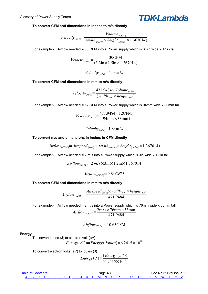

#### **To convert CFM and dimensions in inches to m/s directly**

$$
Velocity_{(m/s)} = \frac{Volume_{(CFM)}}{(width_{(inches)} \times height_{(inches)} \times 1.367014)}
$$

For example:- Airflow needed = 30 CFM into a Power supply which is 3.3in wide x 1.5in tall

$$
Velocity_{(m/s)} = \frac{30CFM}{(3.3 \text{in} \times 1.5 \text{in} \times 1.367014)}
$$

*Velocity*<sub>*m*/*s*</sub> $=$ 4.43*m*/*s* 

#### **To convert CFM and dimensions in mm to m/s directly**

$$
Velocity_{(m/s)} = \frac{471.9484 \times Volume_{(CFM)}}{(width_{(mm)} \times height_{(mm)})}
$$

For example:- Airflow needed = 12 CFM into a Power supply which is 94mm wide x 33mm tall

$$
Velocity_{(m/s)} = \frac{471.9484 \times 12 \text{CFM}}{(94 \text{mm} \times 33 \text{mm})}
$$

*Velocity*<sub>*m*/ $s$ </sub> = 1.83m/*s* 

#### **To convert m/s and dimensions in inches to CFM directly**

$$
Airflow_{(CFM)} = Airspeed_{(m/s)} \times (width_{(inches)} \times height_{(inches)} \times 1.367014)
$$

For example:- Airflow needed =  $2 \text{ m/s}$  into a Power supply which is 3in wide x 1.3in tall

 $Airflow_{(CFM)} = 2 m/s \times 3in \times 1.2in \times 1.367014$ 

 $Airflow$ <sub>CFM</sub> $=9.84$ CFM

#### **To convert CFM and dimensions in mm to m/s directly**

$$
Airflow_{(CFM)} = \frac{Airspeed_{(m/s)} \times width_{(mm)} \times height_{(mm)}}{471.9484}
$$

For example:- Airflow needed = 2 m/s into a Power supply which is 76mm wide x 33mm tall  $Airflow_{(CFM)} = \frac{2m/s \times 76mm \times 33mm}{471.0484}$ 471.9484

$$
Airflow_{(CFM)} = 10.63 \text{CFM}
$$

#### <span id="page-49-0"></span>**Energy**

To convert joules (J) to electron volt (eV)

 $Energy(eV) = Energy(Joules) \times 6.2415 \times 10^{18}$ 

To convert electron volts (eV) to joules (J)

Energy
$$
Energy(J) = \frac{(Energy(eV))}{(6.2415 \times 10^{18})}
$$

| <b>Table of Contents</b> |  |  |  | Page 48 |  |  |  |  |  |  |  |  |  | Doc No 69639 Issue 2.2 |  |  |  |  |                                                     |  |  |  |  |  |
|--------------------------|--|--|--|---------|--|--|--|--|--|--|--|--|--|------------------------|--|--|--|--|-----------------------------------------------------|--|--|--|--|--|
|                          |  |  |  |         |  |  |  |  |  |  |  |  |  |                        |  |  |  |  | A B C D E F G H I J K L M N O P Q R S T U V W X Y Z |  |  |  |  |  |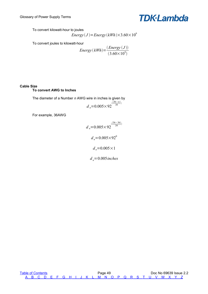

To convert kilowatt-hour to joules

Energy
$$
(J)
$$
=Energy $(kWh)$ ×3.60×10<sup>6</sup>

To convert joules to kilowatt-hour

Energy 
$$
(kWh)
$$
 = 
$$
\frac{(Energy (J))}{(3.60 \times 10^6)}
$$

#### <span id="page-50-0"></span>**Cable Size**

#### **To convert AWG to Inches**

The diameter of a Number *n* AWG wire in inches is given by  $d_n = 0.005 \times 92 \cdot \frac{(36-n)}{39}$  $\frac{3-n}{39}$ )

For example, 36AWG

$$
d_n = 0.005 \times 92^{\frac{(36-36)}{39}}
$$

$$
d_n = 0.005 \times 92^0
$$

$$
d_n = 0.005 \times 1
$$

$$
d_n = 0.005 inches
$$

[Table of Contents](#page-1-0) **Table of Contents Page 49** Doc No 69639 Issue 2.2  [A](#page-2-0) [B](#page-3-0) [C](#page-5-0) [D](#page-9-0) [E](#page-11-0) [F](#page-13-0) [G](#page-15-0) [H](#page-16-0) [I](#page-18-0) [J](#page-20-0) [K](#page-21-0) [L](#page-22-0) [M](#page-24-0) [N](#page-26-0) [O](#page-27-0) [P](#page-29-0) [Q](#page-32-0) [R](#page-33-0) [S](#page-35-0) [T](#page-39-0) [U](#page-41-0) [V](#page-42-0) [W](#page-43-0) [X](#page-44-0) [Y](#page-45-0) [Z](#page-46-0)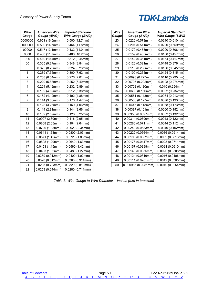| Wire<br>Gauge | <b>American Wire</b><br>Gauge (AWG) | <b>Imperial Standard</b><br>Wire Gauge (SWG) |
|---------------|-------------------------------------|----------------------------------------------|
| 0000000       | 0.651 (16.5mm)                      | 0.500(12.7mm)                                |
| 000000        | 0.580 (14.7mm)                      | 0.464(11.8mm)                                |
| 00000         | 0.517(13.1mm)                       | 0.432(11.0mm)                                |
| 0000          | 0.460 (11.7mm)                      | 0.400(10.2mm)                                |
| 000           | 0.410 (10.4mm)                      | 0.372(9.45mm)                                |
| 00            | 0.365 (9.27mm)                      | 0.348(8.84mm)                                |
| 0             | 0.325(8.25mm)                       | 0.324 (8.23mm)                               |
| 1             | 0.289 (7.35mm)                      | 0.300(7.62mm)                                |
| 2             | 0.258 (6.54mm)                      | 0.276(7.01mm)                                |
| 3             | 0.229(5.83mm)                       | 0.252(6.40mm)                                |
| 4             | 0.204(5.19mm)                       | 0.232(5.89mm)                                |
| 5             | 0.182(4.62mm)                       | 0.212 (5.38mm)                               |
| 6             | 0.162(4.12mm)                       | 0.192(4.88mm)                                |
| 7             | $0.144$ (3.66mm)                    | 0.176(4.47mm)                                |
| 8             | 0.128(3.26mm)                       | 0.160(4.06mm)                                |
| 9             | 0.114(2.91mm)                       | 0.144(3.66mm)                                |
| 10            | 0.102(2.59mm)                       | 0.128(3.25mm)                                |
| 11            | 0.0907 (2.30mm)                     | 0.116(2.95mm)                                |
| 12            | 0.0808(2.05mm)                      | 0.104(2.64mm)                                |
| 13            | 0.0720 (1.83mm)                     | 0.0920(2.34mm)                               |
| 14            | 0.0641(1.63mm)                      | 0.0800(2.03mm)                               |
| 15            | 0.0571(1.45mm)                      | 0.0720(1.83mm)                               |
| 16            | 0.0508 (1.29mm)                     | 0.0640(1.63mm)                               |
| 17            | 0.0453(1.15mm)                      | 0.0560(1.42mm)                               |
| 18            | 0.0403(1.02mm)                      | 0.0480(1.22mm)                               |
| 19            | 0.0359 (0.912mm)                    | 0.0400(1.02mm)                               |
| 20            | 0.0320 (0.812mm)                    | 0.0360 (0.914mm)                             |
| 21            | 0.0285 (0.723mm)                    | 0.0320 (0.813mm)                             |
| 22            | 0.0253 (0.644mm)                    | 0.0280 (0.711mm)                             |

| Wire<br>Gauge | <b>American Wire</b><br>Gauge (AWG) | <b>Imperial Standard</b><br>Wire Gauge (SWG) |
|---------------|-------------------------------------|----------------------------------------------|
| 23            | 0.0226(0.573mm)                     | 0.0240 (0.610mm)                             |
| 24            | 0.0201(0.511mm)                     | 0.0220(0.559mm)                              |
| 25            | 0.0179 (0.455mm)                    | 0.0200(0.508mm)                              |
| 26            | 0.0159 (0.405mm)                    | 0.0180(0.457mm)                              |
| 27            | 0.0142(0.361mm)                     | 0.0164(0.417mm)                              |
| 28            | 0.0126 (0.321mm)                    | 0.0148 (0.376mm)                             |
| 29            | 0.0113(0.286mm)                     | 0.0136 (0.345mm)                             |
| 30            | 0.0100(0.255mm)                     | 0.0124 (0.315mm)                             |
| 31            | 0.00893(0.227mm)                    | 0.0116 (0.295mm)                             |
| 32            | 0.00795(0.202mm)                    | 0.0108(0.274mm)                              |
| 33            | 0.00708(0.180mm)                    | 0.010(0.254mm)                               |
| 34            | 0.00630 (0.160mm)                   | 0.0092 (0.234mm)                             |
| 35            | 0.00561(0.143mm)                    | 0.0084(0.213mm)                              |
| 36            | 0.00500(0.127mm)                    | 0.0076(0.193mm)                              |
| 37            | 0.00445(0.113mm)                    | 0.0068(0.173mm)                              |
| 38            | 0.00397 (0.101mm)                   | 0.0060 (0.152mm)                             |
| 39            | 0.00353(0.0897mm)                   | 0.0052(0.132mm)                              |
| 40            | 0.00314(0.0799mm)                   | 0.0048 (0.122mm)                             |
| 41            | 0.00280 (0.0711mm)                  | 0.0044(0.112mm)                              |
| 42            | 0.00249 (0.0633mm)                  | 0.0040 (0.102mm)                             |
| 43            | 0.00222 (0.0564mm)                  | 0.0036 (0.0914mm)                            |
| 44            | 0.00198(0.0502mm)                   | 0.0032(0.0813mm)                             |
| 45            | 0.00176 (0.0447mm)                  | 0.0028 (0.0711mm)                            |
| 46            | 0.00157(0.0398mm)                   | 0.0024(0.0610mm)                             |
| 47            | 0.00140(0.0355mm)                   | 0.0020(0.0508mm)                             |
| 48            | 0.00124(0.0316mm)                   | 0.0016(0.0406mm)                             |
| 49            | 0.00111(0.0281mm)                   | 0.0012(0.0305mm)                             |
| 50            | 0.000986 (0.0251mm)                 | 0.0010(0.0254mm)                             |

*Table 3: Wire Gauge to Wire Diameter – inches (mm in brackets)*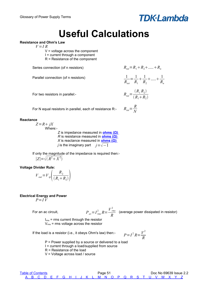## <span id="page-52-4"></span>**Useful Calculations**

#### <span id="page-52-3"></span>**Resistance and Ohm's Law**

 $V = I R$ 

 $V =$  voltage across the component  $I =$  current through a component R = Resistance of the component

Series connection (of n resistors)  $R_{tot} = R_1 + R_2 + \dots + R_n$ 

Parallel connection (of n resistors) 1

For two resistors in parallel:-

$$
R_{tot} = \frac{(R_1 R_2)}{(R_1 + R_2)}
$$

*R N*  $+\frac{1}{2}$  $R<sub>2</sub>$   $+....+ \frac{1}{2}$ 

*Rn*

*Rtot*

 $=\frac{1}{R}$  $R<sub>1</sub>$ 

For N equal resistors in parallel, each of resistance R:-

#### <span id="page-52-2"></span>**Reactance**

 $Z = R + jX$ Where:-

*Z* is impedance measured in **ohms (Ω)** *R* is resistance measured in **ohms (** $\Omega$ **)** *X* is reactance measured in **ohms (** $Ω$ **)** *j* is the imaginary part *j* = $\sqrt{-1}$ 

If only the magnitude of the impedance is required then:-  $|Z| = \sqrt{(R^2 + X^2)}$ 

#### <span id="page-52-1"></span>**Voltage Divider Rule:**

$$
V_{out} = V_{ip} \left( \frac{R_2}{(R_1 + R_2)} \right)
$$

<span id="page-52-0"></span>**Electrical Energy and Power**  $P = I V$ 

For an ac circuit,

$$
P_{\text{av}} = I_{\text{rms}}^2 R = \frac{V_{\text{rms}}^2}{R}
$$
 (average power dissipated in resistor)

$$
I_{\rm rms}
$$
 = rms current through the resistor  $V_{\rm rms}$  = rms voltage across the resistor

If the load is a resistor (i.e., it obeys Ohm's law) then:- $p$ 

$$
P = I^2 R = \frac{V^2}{R}
$$

P = Power supplied by a source or delivered to a load I = current through a load/supplied from source R = Resistance of the load V = Voltage across load / source

| <b>Table of Contents</b> |  |  | Page 51 |  |  |  |  |  |  |  |  |  |  |  |  |  | Doc No 69639 Issue 2.2                              |  |  |
|--------------------------|--|--|---------|--|--|--|--|--|--|--|--|--|--|--|--|--|-----------------------------------------------------|--|--|
|                          |  |  |         |  |  |  |  |  |  |  |  |  |  |  |  |  | A B C D F F G H I J K L M N O P O R S T U V W X Y Z |  |  |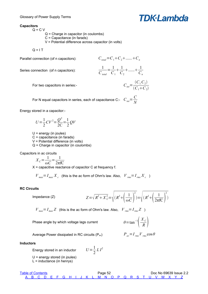#### <span id="page-53-2"></span>**Capacitors**

 $Q = C V$ Q = Charge in capacitor (in coulombs)

C = Capacitance (in farads)

V = Potential difference across capacitor (in volts)

 $Q = I T$ 

Parallel connection (of n capacitors):  $C_{total} = C_1 + C_2 + \dots + C_n$ 

Series connection (of n capacitors):

$$
\frac{1}{C_{\text{total}}} = \frac{1}{C_1} + \frac{1}{C_2} + \dots + \frac{1}{C_n}
$$

$$
C_{\text{tot}} = \frac{(C_1 C_2)}{(C_1 + C_2)}
$$

**TDK·Lambda** 

For N equal capacitors in series, each of capacitance C:-  $C_{tot} = \frac{C}{\Delta t}$ *N*

Energy stored in a capacitor:-

$$
U = \frac{1}{2}CV^2 = \frac{Q^2}{2C} = \frac{1}{2}QV
$$

For two capacitors in series:-

 $U =$  energy (in joules) C = capacitance (in farads) V = Potential difference (in volts) Q = Charge in capacitor (in coulombs)

Capacitors in ac circuits

$$
X_C = \frac{1}{\omega C} = \frac{1}{2\pi fC}
$$

 $X =$  capacitive reactance of capacitor C at frequency f.

 $V_{max} = I_{max} X_c$  (this is the ac form of Ohm's law. Also,  $V_{rms} = I_{rms} X_c$ )

#### <span id="page-53-1"></span>**RC Circuits**

Impedance (Z) *Z*= *R*

$$
Z = \sqrt{R^2 + X_C^2} = \sqrt{(R^2 + \left(\frac{1}{\omega C}\right)^2)} = \sqrt{(R^2 + \left(\frac{1}{2\pi fC}\right)^2)}
$$

 $\vert$  - $X_C$  $\left(\frac{C}{R}\right)$ 

 $V_{max} = I_{max}Z$  (this is the ac form of Ohm's law. Also,  $V_{rms} = I_{rms}Z$ )

1 2  $LI^2$ 

Phase angle by which voltage lags current

Average Power dissipated in RC circuits (P<sub>av</sub>) 
$$
P_{av} = I_{rms} V_{rms} \cos \theta
$$

#### <span id="page-53-0"></span>**Inductors**

Energy stored in an inductor

U = energy stored (in joules)

 $L =$  inductance (in henrys)

| <b>Table of Contents</b> |  |  |  | Page 52 |  |  |  |  |                                                     |  |  |  |  |  | Doc No 69639 Issue 2.2 |  |  |  |  |  |  |  |  |  |
|--------------------------|--|--|--|---------|--|--|--|--|-----------------------------------------------------|--|--|--|--|--|------------------------|--|--|--|--|--|--|--|--|--|
|                          |  |  |  |         |  |  |  |  | A B C D E F G H I J K L M N O P Q R S T U V W X Y Z |  |  |  |  |  |                        |  |  |  |  |  |  |  |  |  |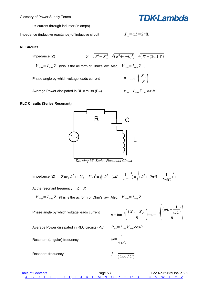Glossary of Power Supply Terms

**TDK·Lambda** 

 $I =$  current through inductor (in amps)

*Impedance (inductive reactance) of inductive circuit* 

$$
X_L = \omega L = 2\pi f L
$$

#### <span id="page-54-1"></span>**RL Circuits**

Impedance (Z)

\n
$$
Z = \sqrt{R^2 + X_L^2} = \sqrt{(R^2 + (\omega L)^2)} = \sqrt{(R^2 + (2\pi f L)^2)}
$$
\n

\n\n
$$
V_{\text{max}} = I_{\text{max}} Z
$$
\n (this is the ac form of Ohm's law. Also,  $V_{\text{rms}} = I_{\text{rms}} Z$ )\n

Phase angle by which voltage leads current

Average Power dissipated in RL circuits (P<sub>av</sub>)

 $P_{av} = I_{rms}V_{rms} \cos \theta$ 

 $\vert$  $X_L$  $\left(\frac{L}{R}\right)$ 

<span id="page-54-0"></span>**RLC Circuits (Series Resonant)**



*Drawing 37: Series Resonant Circuit*

Impedance (Z) 
$$
Z = \sqrt{R^2 + (X_L - X_C)^2} = \sqrt{(R^2 + (\omega L - \frac{1}{\omega C})^2)} = \sqrt{(R^2 + (2\pi fL - \frac{1}{2\pi fC})^2)}
$$

At the resonant frequency,  $Z = R$ 

 $V_{max} = I_{max}Z$  (this is the ac form of Ohm's law. Also,  $V_{rms} = I_{rms}Z$ )

Phase angle by which voltage leads current

$$
\theta = \tan^{-1}\left(\frac{(X_L - X_C)}{R}\right) = \tan^{-1}\left(\frac{(\omega L - \frac{1}{\omega C})}{R}\right)
$$

Average Power dissipated in RLC circuits (P<sub>av</sub>)

$$
P_{av} = I_{rms} V_{rms} \cos \theta
$$

1  $\sqrt{LC}$ 

Resonant (angular) frequency *ω*=

Resonant frequency 
$$
f = \frac{1}{(2\pi\sqrt{LC})}
$$

[Table of Contents](#page-1-0) **Table of Contents Page 53** Doc No 69639 Issue 2.2  [A](#page-2-0) [B](#page-3-0) [C](#page-5-0) [D](#page-9-0) [E](#page-11-0) [F](#page-13-0) [G](#page-15-0) [H](#page-16-0) [I](#page-18-0) [J](#page-20-0) [K](#page-21-0) [L](#page-22-0) [M](#page-24-0) [N](#page-26-0) [O](#page-27-0) [P](#page-29-0) [Q](#page-32-0) [R](#page-33-0) [S](#page-35-0) [T](#page-39-0) [U](#page-41-0) [V](#page-42-0) [W](#page-43-0) [X](#page-44-0) [Y](#page-45-0) [Z](#page-46-0)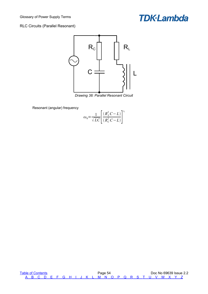#### <span id="page-55-0"></span>RLC Circuits (Parallel Resonant)



*Drawing 38: Parallel Resonant Circuit*

Resonant (angular) frequency

$$
\omega_0 = \frac{1}{\sqrt{LC}} \left[ \frac{(R_L^2 C - L)}{(R_C^2 C - L)} \right]^{\frac{1}{2}}
$$

[Table of Contents](#page-1-0) **Table of Contents** Page 54 Doc No 69639 Issue 2.2  [A](#page-2-0) [B](#page-3-0) [C](#page-5-0) [D](#page-9-0) [E](#page-11-0) [F](#page-13-0) [G](#page-15-0) [H](#page-16-0) [I](#page-18-0) [J](#page-20-0) [K](#page-21-0) [L](#page-22-0) [M](#page-24-0) [N](#page-26-0) [O](#page-27-0) [P](#page-29-0) [Q](#page-32-0) [R](#page-33-0) [S](#page-35-0) [T](#page-39-0) [U](#page-41-0) [V](#page-42-0) [W](#page-43-0) [X](#page-44-0) [Y](#page-45-0) [Z](#page-46-0)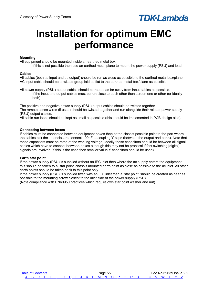# <span id="page-56-4"></span>**Installation for optimum EMC performance**

#### <span id="page-56-3"></span>**Mounting**

All equipment should be mounted inside an earthed metal box.

If this is not possible then use an earthed metal plane to mount the power supply (PSU) and load.

#### <span id="page-56-2"></span>**Cables**

All cables (both ac input and dc output) should be run as close as possible to the earthed metal box/plane. AC input cable should be a twisted group laid as flat to the earthed metal box/plane as possible.

All power supply (PSU) output cables should be routed as far away from input cables as possible. If the input and output cables must be run close to each other then screen one or other (or ideally both).

The positive and negative power supply (PSU) output cables should be twisted together. The remote sense wires (if used) should be twisted together and run alongside their related power supply (PSU) output cables.

All cable run loops should be kept as small as possible (this should be implemented in PCB design also).

#### <span id="page-56-1"></span>**Connecting between boxes**

If cables must be connected between equipment boxes then at the closest possible point to the port where the cables exit the 1<sup>st</sup> enclosure connect 100nF decoupling Y caps (between the output and earth). Note that these capacitors must be rated at the working voltage. Ideally these capacitors should be between all signal cables which have to connect between boxes although this may not be practical if fast switching [digital] signals are involved (if this is the case then smaller value Y capacitors should be used).

#### <span id="page-56-0"></span>**Earth star point**

If the power supply (PSU) is supplied without an IEC inlet then where the ac supply enters the equipment, this should be taken to a 'star point' chassis mounted earth point as close as possible to the ac inlet. All other earth points should be taken back to this point only.

If the power supply (PSU) is supplied fitted with an IEC inlet then a 'star point' should be created as near as possible to the mounting screw closest to the inlet side of the power supply (PSU).

(Note compliance with EN60950 practices which require own star point washer and nut).

[Table of Contents](#page-1-0) **Page 55** Page 55 **Page 55** Doc No 69639 Issue 2.2  [A](#page-2-0) [B](#page-3-0) [C](#page-5-0) [D](#page-9-0) [E](#page-11-0) [F](#page-13-0) [G](#page-15-0) [H](#page-16-0) [I](#page-18-0) [J](#page-20-0) [K](#page-21-0) [L](#page-22-0) [M](#page-24-0) [N](#page-26-0) [O](#page-27-0) [P](#page-29-0) [Q](#page-32-0) [R](#page-33-0) [S](#page-35-0) [T](#page-39-0) [U](#page-41-0) [V](#page-42-0) [W](#page-43-0) [X](#page-44-0) [Y](#page-45-0) [Z](#page-46-0)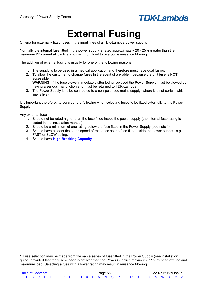

## <span id="page-57-0"></span>**External Fusing**

Criteria for externally fitted fuses in the input lines of a TDK-Lambda power supply.

Normally the internal fuse fitted in the power supply is rated approximately 20 - 25% greater than the maximum I/P current at low line and maximum load to overcome nuisance blowing.

The addition of external fusing is usually for one of the following reasons:

- 1. The supply is to be used in a medical application and therefore must have dual fusing.
- 2. To allow the customer to change fuses in the event of a problem because the unit fuse is NOT accessible.

**WARNING**: If the fuse blows immediately after being replaced the Power Supply must be viewed as having a serious malfunction and must be returned to TDK-Lambda.

3. The Power Supply is to be connected to a non-polarised mains supply (where it is not certain which line is live).

It is important therefore, to consider the following when selecting fuses to be fitted externally to the Power Supply:

Any external fuse:

- 1. Should not be rated higher than the fuse fitted inside the power supply (the internal fuse rating is stated in the installation manual).
- 2. Should be a minimum of one rating below the fuse fitted in the Power Supply (see note  $1$ )
- 3. Should have at least the same speed of response as the fuse fitted inside the power supply. e.g. FAST or SLOW acting.
- 4. Should have **[High Breaking Capacity](#page-16-8)**.

<span id="page-57-1"></span><sup>1</sup> Fuse selection may be made from the same series of fuse fitted in the Power Supply (see installation guide) provided that the fuse chosen is greater than the Power Supplies maximum I/P current at low line and maximum load. Selecting a fuse with a lower rating may result in nuisance blowing.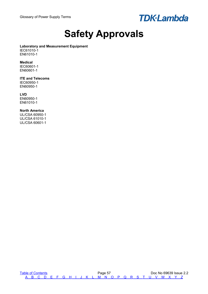

## <span id="page-58-0"></span>**Safety Approvals**

#### **Laboratory and Measurement Equipment**

IEC61010-1 EN61010-1

#### **Medical**

IEC60601-1 EN60601-1

#### **ITE and Telecoms**

IEC60950-1 EN60950-1

#### **LVD**

EN60950-1 EN61010-1

#### **North America**

UL/CSA 60950-1 UL/CSA 61010-1 UL/CSA 60601-1